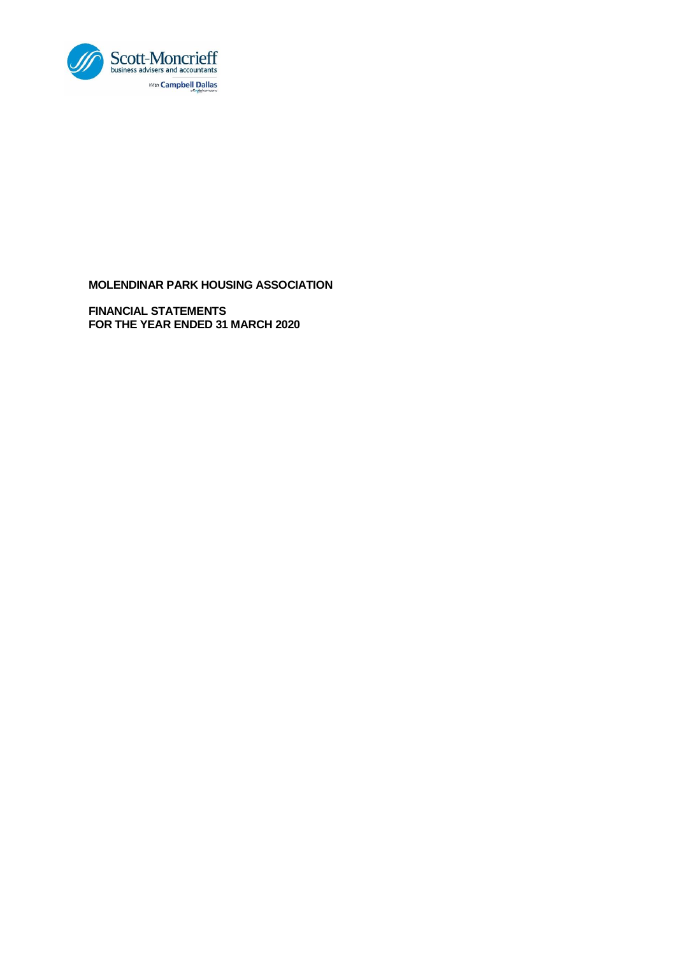

**FINANCIAL STATEMENTS FOR THE YEAR ENDED 31 MARCH 2020**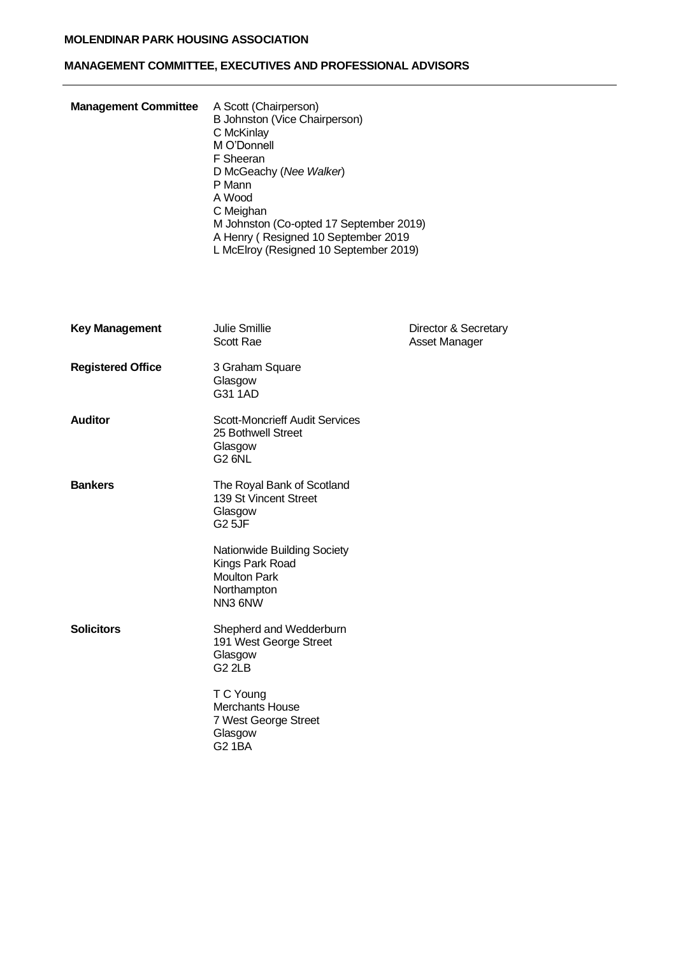# **MANAGEMENT COMMITTEE, EXECUTIVES AND PROFESSIONAL ADVISORS**

| <b>Management Committee</b> | A Scott (Chairperson)<br>B Johnston (Vice Chairperson)<br>C McKinlay<br>M O'Donnell<br>F Sheeran<br>D McGeachy (Nee Walker)<br>P Mann<br>A Wood<br>C Meighan<br>M Johnston (Co-opted 17 September 2019)<br>A Henry (Resigned 10 September 2019<br>L McElroy (Resigned 10 September 2019) |                                       |
|-----------------------------|------------------------------------------------------------------------------------------------------------------------------------------------------------------------------------------------------------------------------------------------------------------------------------------|---------------------------------------|
| <b>Key Management</b>       | <b>Julie Smillie</b><br>Scott Rae                                                                                                                                                                                                                                                        | Director & Secretary<br>Asset Manager |
| <b>Registered Office</b>    | 3 Graham Square<br>Glasgow<br>G31 1AD                                                                                                                                                                                                                                                    |                                       |
| <b>Auditor</b>              | <b>Scott-Moncrieff Audit Services</b><br>25 Bothwell Street<br>Glasgow<br><b>G2 6NL</b>                                                                                                                                                                                                  |                                       |
| <b>Bankers</b>              | The Royal Bank of Scotland<br>139 St Vincent Street<br>Glasgow<br><b>G25JF</b>                                                                                                                                                                                                           |                                       |
|                             | Nationwide Building Society<br>Kings Park Road<br><b>Moulton Park</b><br>Northampton<br>NN3 6NW                                                                                                                                                                                          |                                       |
| <b>Solicitors</b>           | Shepherd and Wedderburn<br>191 West George Street<br>Glasgow<br>G <sub>2</sub> 2LB                                                                                                                                                                                                       |                                       |
|                             | T C Young<br><b>Merchants House</b><br>7 West George Street<br>Glasgow<br>G2 1BA                                                                                                                                                                                                         |                                       |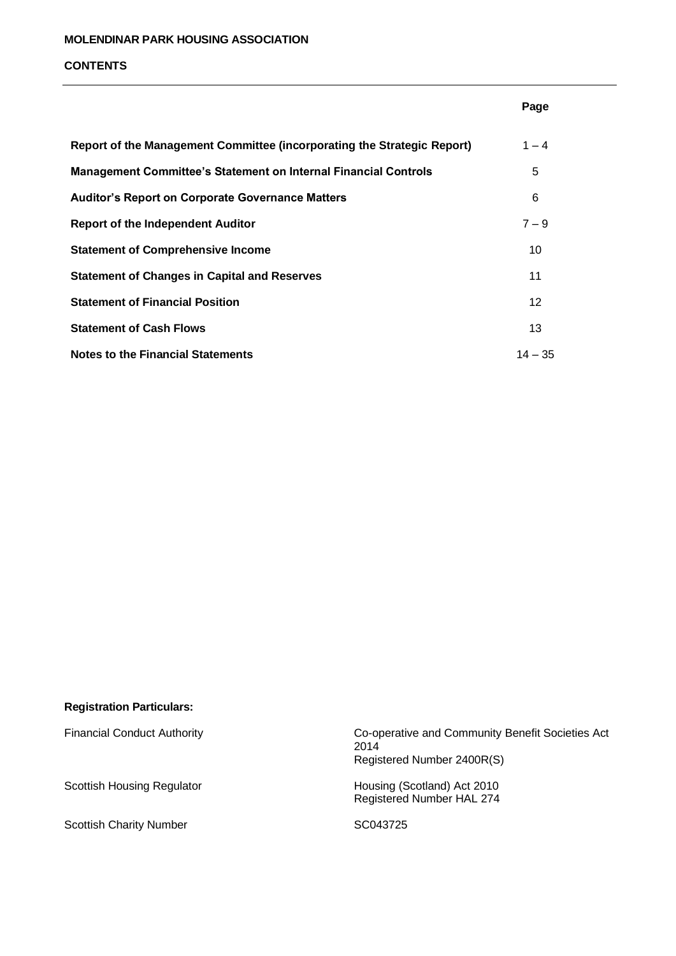#### **CONTENTS**

|                                                                         | Page      |
|-------------------------------------------------------------------------|-----------|
| Report of the Management Committee (incorporating the Strategic Report) | $1 - 4$   |
| <b>Management Committee's Statement on Internal Financial Controls</b>  | 5         |
| <b>Auditor's Report on Corporate Governance Matters</b>                 | 6         |
| <b>Report of the Independent Auditor</b>                                | $7 - 9$   |
| <b>Statement of Comprehensive Income</b>                                | 10        |
| <b>Statement of Changes in Capital and Reserves</b>                     | 11        |
| <b>Statement of Financial Position</b>                                  | 12        |
| <b>Statement of Cash Flows</b>                                          | 13        |
| <b>Notes to the Financial Statements</b>                                | $14 - 35$ |

# **Registration Particulars:**

Scottish Charity Number SC043725

Financial Conduct Authority Co-operative and Community Benefit Societies Act 2014 Registered Number 2400R(S)

Scottish Housing Regulator **Housing (Scotland)** Act 2010 Registered Number HAL 274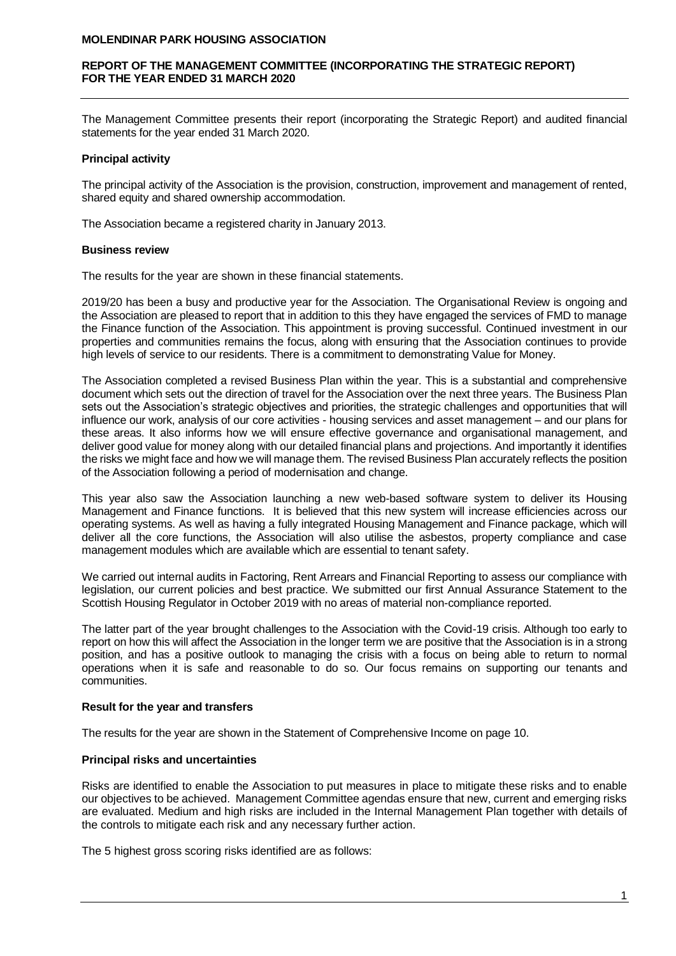## **REPORT OF THE MANAGEMENT COMMITTEE (INCORPORATING THE STRATEGIC REPORT) FOR THE YEAR ENDED 31 MARCH 2020**

The Management Committee presents their report (incorporating the Strategic Report) and audited financial statements for the year ended 31 March 2020.

#### **Principal activity**

The principal activity of the Association is the provision, construction, improvement and management of rented, shared equity and shared ownership accommodation.

The Association became a registered charity in January 2013.

#### **Business review**

The results for the year are shown in these financial statements.

2019/20 has been a busy and productive year for the Association. The Organisational Review is ongoing and the Association are pleased to report that in addition to this they have engaged the services of FMD to manage the Finance function of the Association. This appointment is proving successful. Continued investment in our properties and communities remains the focus, along with ensuring that the Association continues to provide high levels of service to our residents. There is a commitment to demonstrating Value for Money.

The Association completed a revised Business Plan within the year. This is a substantial and comprehensive document which sets out the direction of travel for the Association over the next three years. The Business Plan sets out the Association's strategic objectives and priorities, the strategic challenges and opportunities that will influence our work, analysis of our core activities - housing services and asset management – and our plans for these areas. It also informs how we will ensure effective governance and organisational management, and deliver good value for money along with our detailed financial plans and projections. And importantly it identifies the risks we might face and how we will manage them. The revised Business Plan accurately reflects the position of the Association following a period of modernisation and change.

This year also saw the Association launching a new web-based software system to deliver its Housing Management and Finance functions. It is believed that this new system will increase efficiencies across our operating systems. As well as having a fully integrated Housing Management and Finance package, which will deliver all the core functions, the Association will also utilise the asbestos, property compliance and case management modules which are available which are essential to tenant safety.

We carried out internal audits in Factoring, Rent Arrears and Financial Reporting to assess our compliance with legislation, our current policies and best practice. We submitted our first Annual Assurance Statement to the Scottish Housing Regulator in October 2019 with no areas of material non-compliance reported.

The latter part of the year brought challenges to the Association with the Covid-19 crisis. Although too early to report on how this will affect the Association in the longer term we are positive that the Association is in a strong position, and has a positive outlook to managing the crisis with a focus on being able to return to normal operations when it is safe and reasonable to do so. Our focus remains on supporting our tenants and communities.

## **Result for the year and transfers**

The results for the year are shown in the Statement of Comprehensive Income on page 10.

# **Principal risks and uncertainties**

Risks are identified to enable the Association to put measures in place to mitigate these risks and to enable our objectives to be achieved. Management Committee agendas ensure that new, current and emerging risks are evaluated. Medium and high risks are included in the Internal Management Plan together with details of the controls to mitigate each risk and any necessary further action.

The 5 highest gross scoring risks identified are as follows: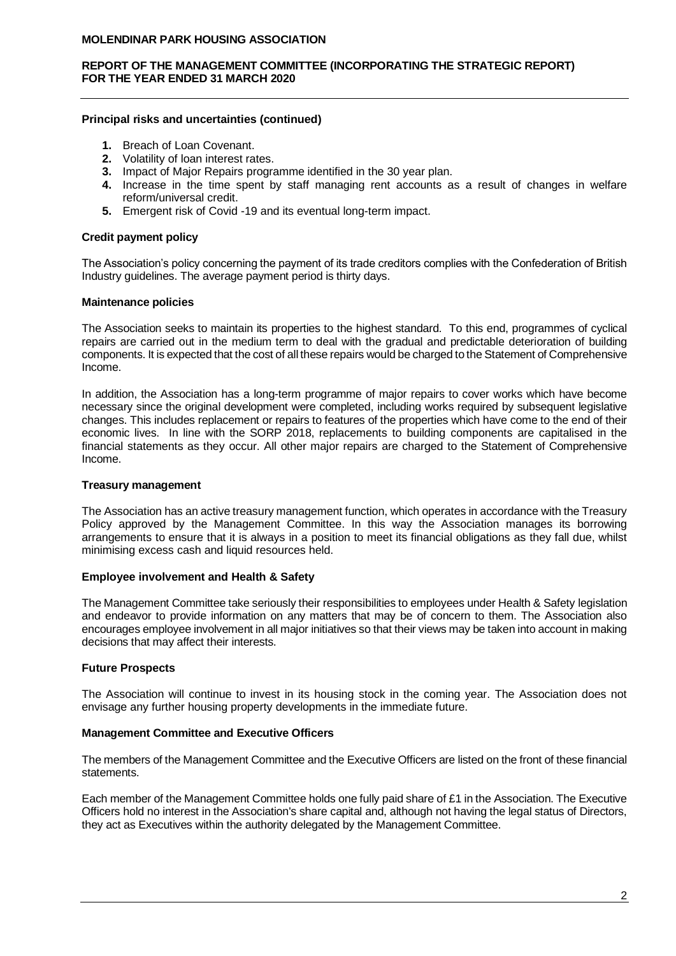# **REPORT OF THE MANAGEMENT COMMITTEE (INCORPORATING THE STRATEGIC REPORT) FOR THE YEAR ENDED 31 MARCH 2020**

# **Principal risks and uncertainties (continued)**

- **1.** Breach of Loan Covenant.
- **2.** Volatility of loan interest rates.
- **3.** Impact of Major Repairs programme identified in the 30 year plan.
- **4.** Increase in the time spent by staff managing rent accounts as a result of changes in welfare reform/universal credit.
- **5.** Emergent risk of Covid -19 and its eventual long-term impact.

## **Credit payment policy**

The Association's policy concerning the payment of its trade creditors complies with the Confederation of British Industry guidelines. The average payment period is thirty days.

# **Maintenance policies**

The Association seeks to maintain its properties to the highest standard. To this end, programmes of cyclical repairs are carried out in the medium term to deal with the gradual and predictable deterioration of building components. It is expected that the cost of all these repairs would be charged to the Statement of Comprehensive Income.

In addition, the Association has a long-term programme of major repairs to cover works which have become necessary since the original development were completed, including works required by subsequent legislative changes. This includes replacement or repairs to features of the properties which have come to the end of their economic lives. In line with the SORP 2018, replacements to building components are capitalised in the financial statements as they occur. All other major repairs are charged to the Statement of Comprehensive Income.

# **Treasury management**

The Association has an active treasury management function, which operates in accordance with the Treasury Policy approved by the Management Committee. In this way the Association manages its borrowing arrangements to ensure that it is always in a position to meet its financial obligations as they fall due, whilst minimising excess cash and liquid resources held.

# **Employee involvement and Health & Safety**

The Management Committee take seriously their responsibilities to employees under Health & Safety legislation and endeavor to provide information on any matters that may be of concern to them. The Association also encourages employee involvement in all major initiatives so that their views may be taken into account in making decisions that may affect their interests.

# **Future Prospects**

The Association will continue to invest in its housing stock in the coming year. The Association does not envisage any further housing property developments in the immediate future.

## **Management Committee and Executive Officers**

The members of the Management Committee and the Executive Officers are listed on the front of these financial statements.

Each member of the Management Committee holds one fully paid share of £1 in the Association. The Executive Officers hold no interest in the Association's share capital and, although not having the legal status of Directors, they act as Executives within the authority delegated by the Management Committee.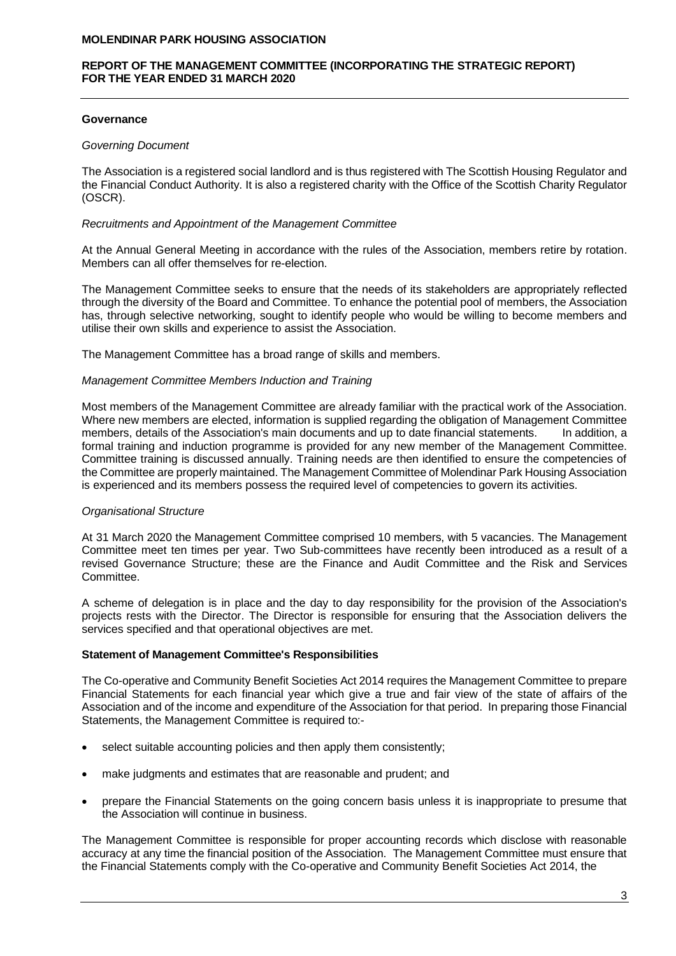## **REPORT OF THE MANAGEMENT COMMITTEE (INCORPORATING THE STRATEGIC REPORT) FOR THE YEAR ENDED 31 MARCH 2020**

## **Governance**

## *Governing Document*

The Association is a registered social landlord and is thus registered with The Scottish Housing Regulator and the Financial Conduct Authority. It is also a registered charity with the Office of the Scottish Charity Regulator (OSCR).

## *Recruitments and Appointment of the Management Committee*

At the Annual General Meeting in accordance with the rules of the Association, members retire by rotation. Members can all offer themselves for re-election.

The Management Committee seeks to ensure that the needs of its stakeholders are appropriately reflected through the diversity of the Board and Committee. To enhance the potential pool of members, the Association has, through selective networking, sought to identify people who would be willing to become members and utilise their own skills and experience to assist the Association.

The Management Committee has a broad range of skills and members.

# *Management Committee Members Induction and Training*

Most members of the Management Committee are already familiar with the practical work of the Association. Where new members are elected, information is supplied regarding the obligation of Management Committee members, details of the Association's main documents and up to date financial statements. In addition, a formal training and induction programme is provided for any new member of the Management Committee. Committee training is discussed annually. Training needs are then identified to ensure the competencies of the Committee are properly maintained. The Management Committee of Molendinar Park Housing Association is experienced and its members possess the required level of competencies to govern its activities.

# *Organisational Structure*

At 31 March 2020 the Management Committee comprised 10 members, with 5 vacancies. The Management Committee meet ten times per year. Two Sub-committees have recently been introduced as a result of a revised Governance Structure; these are the Finance and Audit Committee and the Risk and Services Committee.

A scheme of delegation is in place and the day to day responsibility for the provision of the Association's projects rests with the Director. The Director is responsible for ensuring that the Association delivers the services specified and that operational objectives are met.

## **Statement of Management Committee's Responsibilities**

The Co-operative and Community Benefit Societies Act 2014 requires the Management Committee to prepare Financial Statements for each financial year which give a true and fair view of the state of affairs of the Association and of the income and expenditure of the Association for that period. In preparing those Financial Statements, the Management Committee is required to:-

- select suitable accounting policies and then apply them consistently;
- make judgments and estimates that are reasonable and prudent; and
- prepare the Financial Statements on the going concern basis unless it is inappropriate to presume that the Association will continue in business.

The Management Committee is responsible for proper accounting records which disclose with reasonable accuracy at any time the financial position of the Association. The Management Committee must ensure that the Financial Statements comply with the Co-operative and Community Benefit Societies Act 2014, the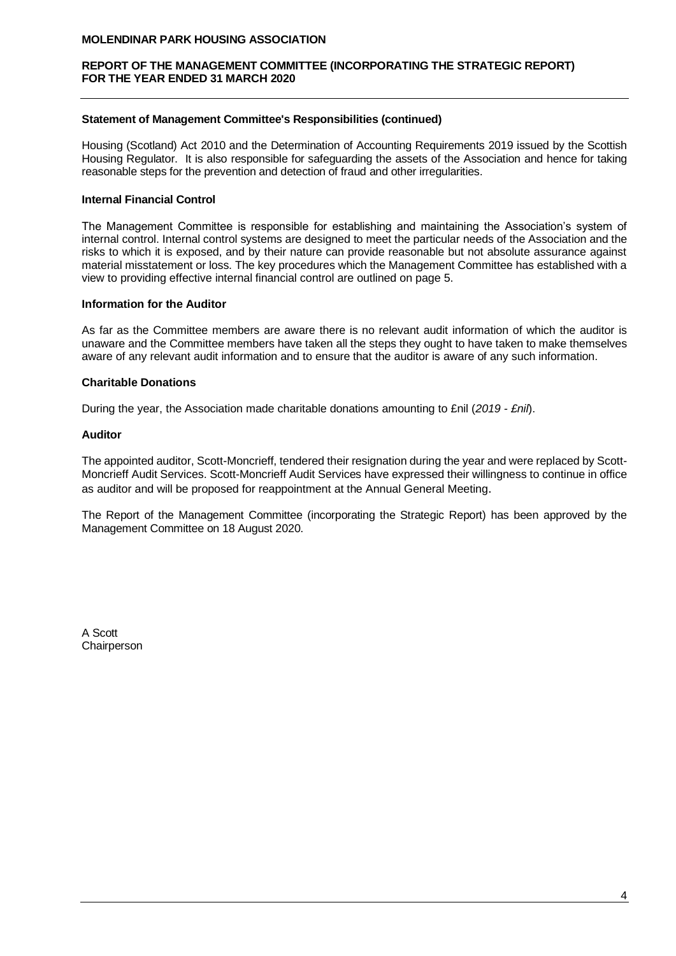# **REPORT OF THE MANAGEMENT COMMITTEE (INCORPORATING THE STRATEGIC REPORT) FOR THE YEAR ENDED 31 MARCH 2020**

## **Statement of Management Committee's Responsibilities (continued)**

Housing (Scotland) Act 2010 and the Determination of Accounting Requirements 2019 issued by the Scottish Housing Regulator. It is also responsible for safeguarding the assets of the Association and hence for taking reasonable steps for the prevention and detection of fraud and other irregularities.

# **Internal Financial Control**

The Management Committee is responsible for establishing and maintaining the Association's system of internal control. Internal control systems are designed to meet the particular needs of the Association and the risks to which it is exposed, and by their nature can provide reasonable but not absolute assurance against material misstatement or loss. The key procedures which the Management Committee has established with a view to providing effective internal financial control are outlined on page 5.

## **Information for the Auditor**

As far as the Committee members are aware there is no relevant audit information of which the auditor is unaware and the Committee members have taken all the steps they ought to have taken to make themselves aware of any relevant audit information and to ensure that the auditor is aware of any such information.

# **Charitable Donations**

During the year, the Association made charitable donations amounting to £nil (*2019 - £nil*).

## **Auditor**

The appointed auditor, Scott-Moncrieff, tendered their resignation during the year and were replaced by Scott-Moncrieff Audit Services. Scott-Moncrieff Audit Services have expressed their willingness to continue in office as auditor and will be proposed for reappointment at the Annual General Meeting.

The Report of the Management Committee (incorporating the Strategic Report) has been approved by the Management Committee on 18 August 2020.

A Scott **Chairperson**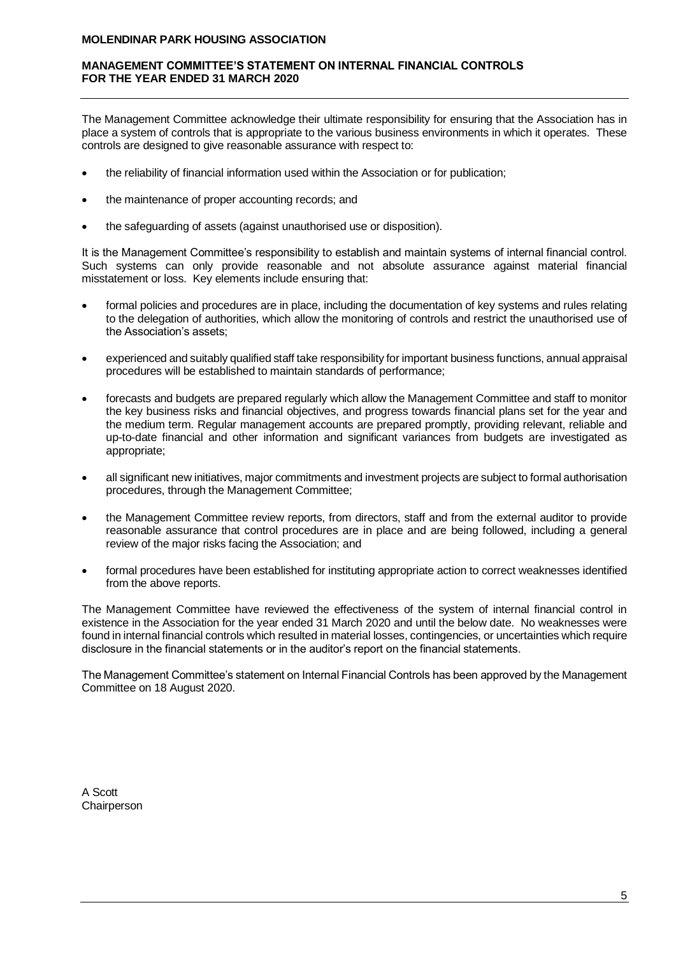# **MANAGEMENT COMMITTEE'S STATEMENT ON INTERNAL FINANCIAL CONTROLS FOR THE YEAR ENDED 31 MARCH 2020**

The Management Committee acknowledge their ultimate responsibility for ensuring that the Association has in place a system of controls that is appropriate to the various business environments in which it operates. These controls are designed to give reasonable assurance with respect to:

- the reliability of financial information used within the Association or for publication;
- the maintenance of proper accounting records; and
- the safeguarding of assets (against unauthorised use or disposition).

It is the Management Committee's responsibility to establish and maintain systems of internal financial control. Such systems can only provide reasonable and not absolute assurance against material financial misstatement or loss. Key elements include ensuring that:

- formal policies and procedures are in place, including the documentation of key systems and rules relating to the delegation of authorities, which allow the monitoring of controls and restrict the unauthorised use of the Association's assets;
- experienced and suitably qualified staff take responsibility for important business functions, annual appraisal procedures will be established to maintain standards of performance;
- forecasts and budgets are prepared regularly which allow the Management Committee and staff to monitor the key business risks and financial objectives, and progress towards financial plans set for the year and the medium term. Regular management accounts are prepared promptly, providing relevant, reliable and up-to-date financial and other information and significant variances from budgets are investigated as appropriate;
- all significant new initiatives, major commitments and investment projects are subject to formal authorisation procedures, through the Management Committee;
- the Management Committee review reports, from directors, staff and from the external auditor to provide reasonable assurance that control procedures are in place and are being followed, including a general review of the major risks facing the Association; and
- formal procedures have been established for instituting appropriate action to correct weaknesses identified from the above reports.

The Management Committee have reviewed the effectiveness of the system of internal financial control in existence in the Association for the year ended 31 March 2020 and until the below date. No weaknesses were found in internal financial controls which resulted in material losses, contingencies, or uncertainties which require disclosure in the financial statements or in the auditor's report on the financial statements.

The Management Committee's statement on Internal Financial Controls has been approved by the Management Committee on 18 August 2020.

A Scott **Chairperson**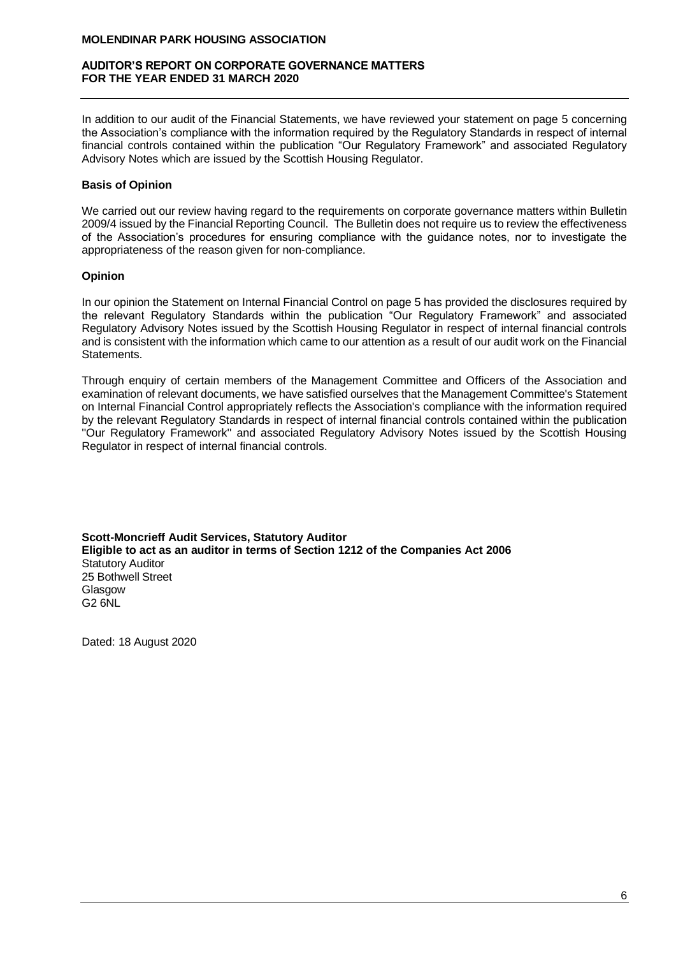## **AUDITOR'S REPORT ON CORPORATE GOVERNANCE MATTERS FOR THE YEAR ENDED 31 MARCH 2020**

In addition to our audit of the Financial Statements, we have reviewed your statement on page 5 concerning the Association's compliance with the information required by the Regulatory Standards in respect of internal financial controls contained within the publication "Our Regulatory Framework" and associated Regulatory Advisory Notes which are issued by the Scottish Housing Regulator.

# **Basis of Opinion**

We carried out our review having regard to the requirements on corporate governance matters within Bulletin 2009/4 issued by the Financial Reporting Council. The Bulletin does not require us to review the effectiveness of the Association's procedures for ensuring compliance with the guidance notes, nor to investigate the appropriateness of the reason given for non-compliance.

# **Opinion**

In our opinion the Statement on Internal Financial Control on page 5 has provided the disclosures required by the relevant Regulatory Standards within the publication "Our Regulatory Framework" and associated Regulatory Advisory Notes issued by the Scottish Housing Regulator in respect of internal financial controls and is consistent with the information which came to our attention as a result of our audit work on the Financial Statements.

Through enquiry of certain members of the Management Committee and Officers of the Association and examination of relevant documents, we have satisfied ourselves that the Management Committee's Statement on Internal Financial Control appropriately reflects the Association's compliance with the information required by the relevant Regulatory Standards in respect of internal financial controls contained within the publication ''Our Regulatory Framework'' and associated Regulatory Advisory Notes issued by the Scottish Housing Regulator in respect of internal financial controls.

**Scott-Moncrieff Audit Services, Statutory Auditor Eligible to act as an auditor in terms of Section 1212 of the Companies Act 2006** Statutory Auditor 25 Bothwell Street Glasgow G2 6NL

Dated: 18 August 2020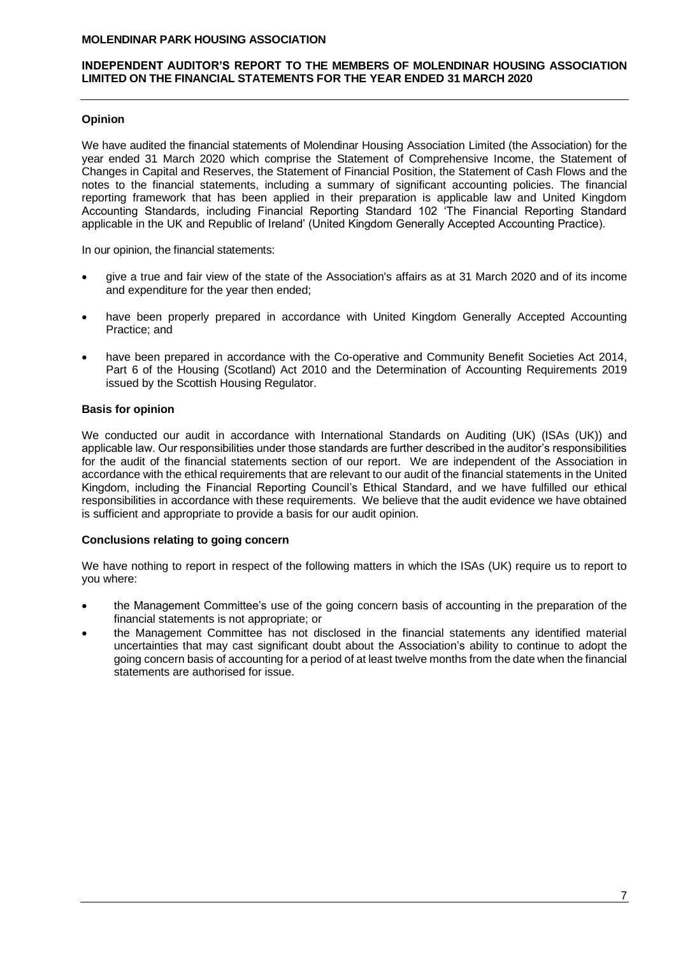# **INDEPENDENT AUDITOR'S REPORT TO THE MEMBERS OF MOLENDINAR HOUSING ASSOCIATION LIMITED ON THE FINANCIAL STATEMENTS FOR THE YEAR ENDED 31 MARCH 2020**

# **Opinion**

We have audited the financial statements of Molendinar Housing Association Limited (the Association) for the year ended 31 March 2020 which comprise the Statement of Comprehensive Income, the Statement of Changes in Capital and Reserves, the Statement of Financial Position, the Statement of Cash Flows and the notes to the financial statements, including a summary of significant accounting policies. The financial reporting framework that has been applied in their preparation is applicable law and United Kingdom Accounting Standards, including Financial Reporting Standard 102 'The Financial Reporting Standard applicable in the UK and Republic of Ireland' (United Kingdom Generally Accepted Accounting Practice).

In our opinion, the financial statements:

- give a true and fair view of the state of the Association's affairs as at 31 March 2020 and of its income and expenditure for the year then ended;
- have been properly prepared in accordance with United Kingdom Generally Accepted Accounting Practice; and
- have been prepared in accordance with the Co-operative and Community Benefit Societies Act 2014. Part 6 of the Housing (Scotland) Act 2010 and the Determination of Accounting Requirements 2019 issued by the Scottish Housing Regulator.

# **Basis for opinion**

We conducted our audit in accordance with International Standards on Auditing (UK) (ISAs (UK)) and applicable law. Our responsibilities under those standards are further described in the auditor's responsibilities for the audit of the financial statements section of our report. We are independent of the Association in accordance with the ethical requirements that are relevant to our audit of the financial statements in the United Kingdom, including the Financial Reporting Council's Ethical Standard, and we have fulfilled our ethical responsibilities in accordance with these requirements. We believe that the audit evidence we have obtained is sufficient and appropriate to provide a basis for our audit opinion.

## **Conclusions relating to going concern**

We have nothing to report in respect of the following matters in which the ISAs (UK) require us to report to you where:

- the Management Committee's use of the going concern basis of accounting in the preparation of the financial statements is not appropriate; or
- the Management Committee has not disclosed in the financial statements any identified material uncertainties that may cast significant doubt about the Association's ability to continue to adopt the going concern basis of accounting for a period of at least twelve months from the date when the financial statements are authorised for issue.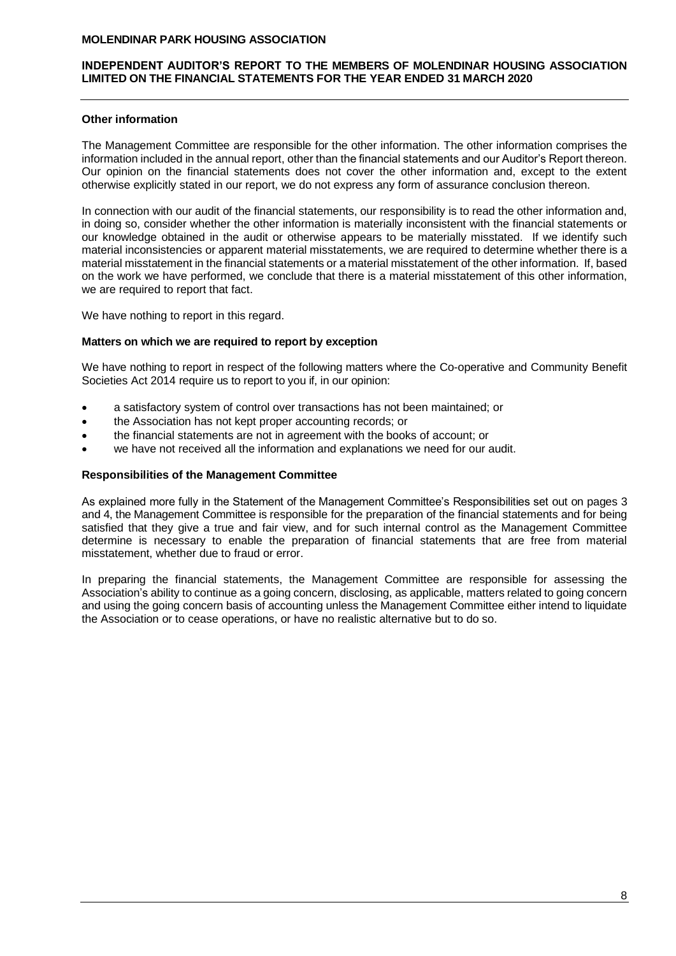# **INDEPENDENT AUDITOR'S REPORT TO THE MEMBERS OF MOLENDINAR HOUSING ASSOCIATION LIMITED ON THE FINANCIAL STATEMENTS FOR THE YEAR ENDED 31 MARCH 2020**

# **Other information**

The Management Committee are responsible for the other information. The other information comprises the information included in the annual report, other than the financial statements and our Auditor's Report thereon. Our opinion on the financial statements does not cover the other information and, except to the extent otherwise explicitly stated in our report, we do not express any form of assurance conclusion thereon.

In connection with our audit of the financial statements, our responsibility is to read the other information and, in doing so, consider whether the other information is materially inconsistent with the financial statements or our knowledge obtained in the audit or otherwise appears to be materially misstated. If we identify such material inconsistencies or apparent material misstatements, we are required to determine whether there is a material misstatement in the financial statements or a material misstatement of the other information. If, based on the work we have performed, we conclude that there is a material misstatement of this other information, we are required to report that fact.

We have nothing to report in this regard.

## **Matters on which we are required to report by exception**

We have nothing to report in respect of the following matters where the Co-operative and Community Benefit Societies Act 2014 require us to report to you if, in our opinion:

- a satisfactory system of control over transactions has not been maintained; or
- the Association has not kept proper accounting records; or
- the financial statements are not in agreement with the books of account; or
- we have not received all the information and explanations we need for our audit.

## **Responsibilities of the Management Committee**

As explained more fully in the Statement of the Management Committee's Responsibilities set out on pages 3 and 4, the Management Committee is responsible for the preparation of the financial statements and for being satisfied that they give a true and fair view, and for such internal control as the Management Committee determine is necessary to enable the preparation of financial statements that are free from material misstatement, whether due to fraud or error.

In preparing the financial statements, the Management Committee are responsible for assessing the Association's ability to continue as a going concern, disclosing, as applicable, matters related to going concern and using the going concern basis of accounting unless the Management Committee either intend to liquidate the Association or to cease operations, or have no realistic alternative but to do so.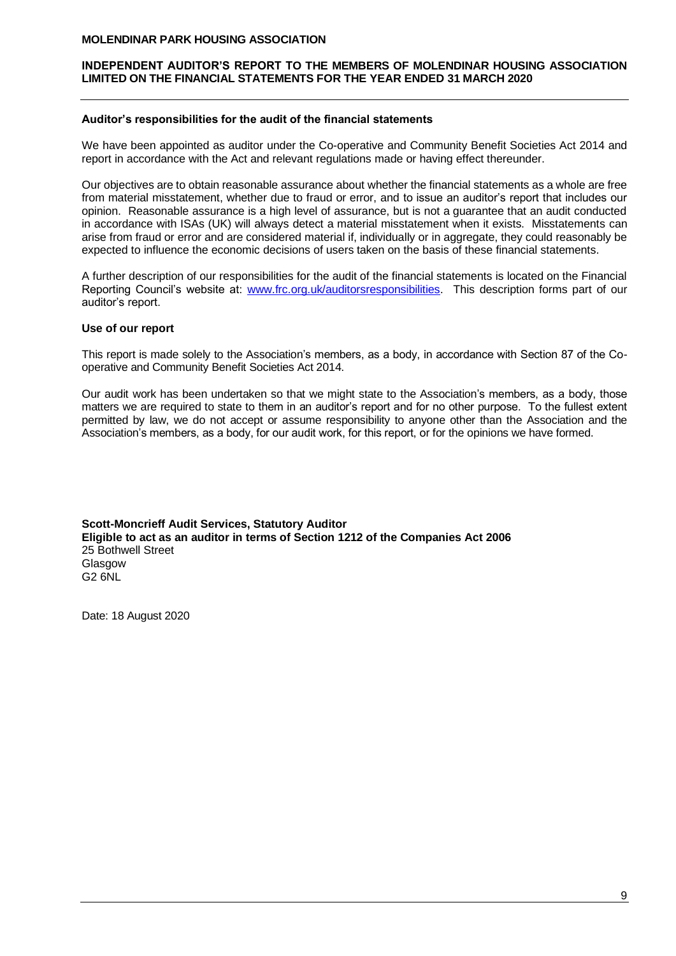# **INDEPENDENT AUDITOR'S REPORT TO THE MEMBERS OF MOLENDINAR HOUSING ASSOCIATION LIMITED ON THE FINANCIAL STATEMENTS FOR THE YEAR ENDED 31 MARCH 2020**

## **Auditor's responsibilities for the audit of the financial statements**

We have been appointed as auditor under the Co-operative and Community Benefit Societies Act 2014 and report in accordance with the Act and relevant regulations made or having effect thereunder.

Our objectives are to obtain reasonable assurance about whether the financial statements as a whole are free from material misstatement, whether due to fraud or error, and to issue an auditor's report that includes our opinion. Reasonable assurance is a high level of assurance, but is not a guarantee that an audit conducted in accordance with ISAs (UK) will always detect a material misstatement when it exists. Misstatements can arise from fraud or error and are considered material if, individually or in aggregate, they could reasonably be expected to influence the economic decisions of users taken on the basis of these financial statements.

A further description of our responsibilities for the audit of the financial statements is located on the Financial Reporting Council's website at: [www.frc.org.uk/auditorsresponsibilities.](http://www.frc.org.uk/auditorsresponsibilities) This description forms part of our auditor's report.

# **Use of our report**

This report is made solely to the Association's members, as a body, in accordance with Section 87 of the Cooperative and Community Benefit Societies Act 2014.

Our audit work has been undertaken so that we might state to the Association's members, as a body, those matters we are required to state to them in an auditor's report and for no other purpose. To the fullest extent permitted by law, we do not accept or assume responsibility to anyone other than the Association and the Association's members, as a body, for our audit work, for this report, or for the opinions we have formed.

**Scott-Moncrieff Audit Services, Statutory Auditor Eligible to act as an auditor in terms of Section 1212 of the Companies Act 2006** 25 Bothwell Street Glasgow G2 6NL

Date: 18 August 2020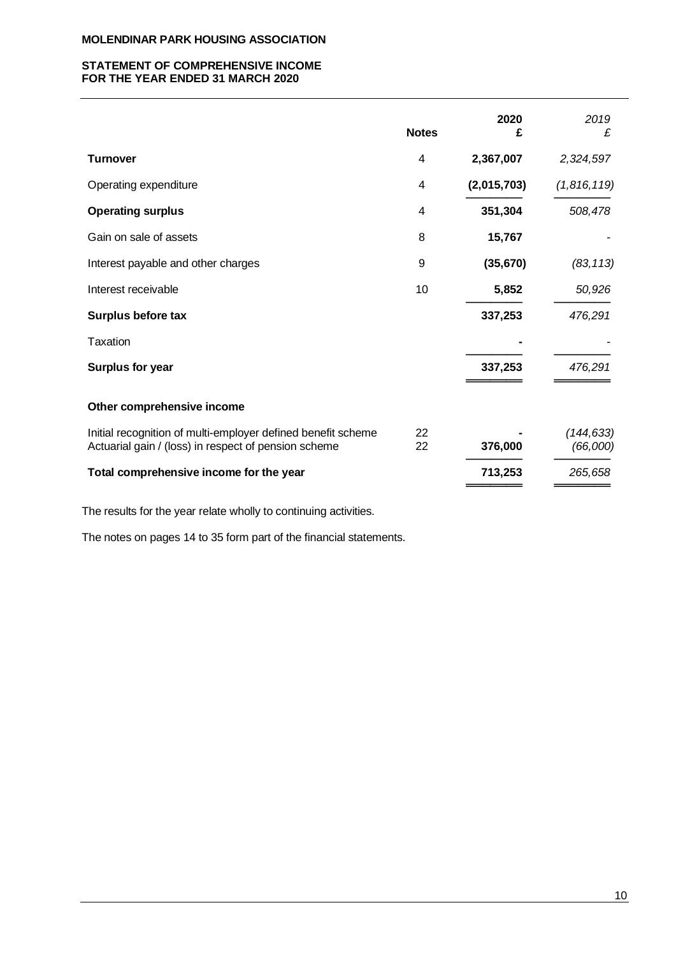# **STATEMENT OF COMPREHENSIVE INCOME FOR THE YEAR ENDED 31 MARCH 2020**

| <b>Notes</b> | 2020<br>£   | 2019<br>£              |
|--------------|-------------|------------------------|
| 4            | 2,367,007   | 2,324,597              |
| 4            | (2,015,703) | (1,816,119)            |
| 4            | 351,304     | 508,478                |
| 8            | 15,767      |                        |
| 9            | (35, 670)   | (83, 113)              |
| 10           | 5,852       | 50,926                 |
|              | 337,253     | 476,291                |
|              |             |                        |
|              | 337,253     | 476,291                |
|              |             |                        |
| 22<br>22     | 376,000     | (144, 633)<br>(66,000) |
|              | 713,253     | 265,658                |
|              |             |                        |

The results for the year relate wholly to continuing activities.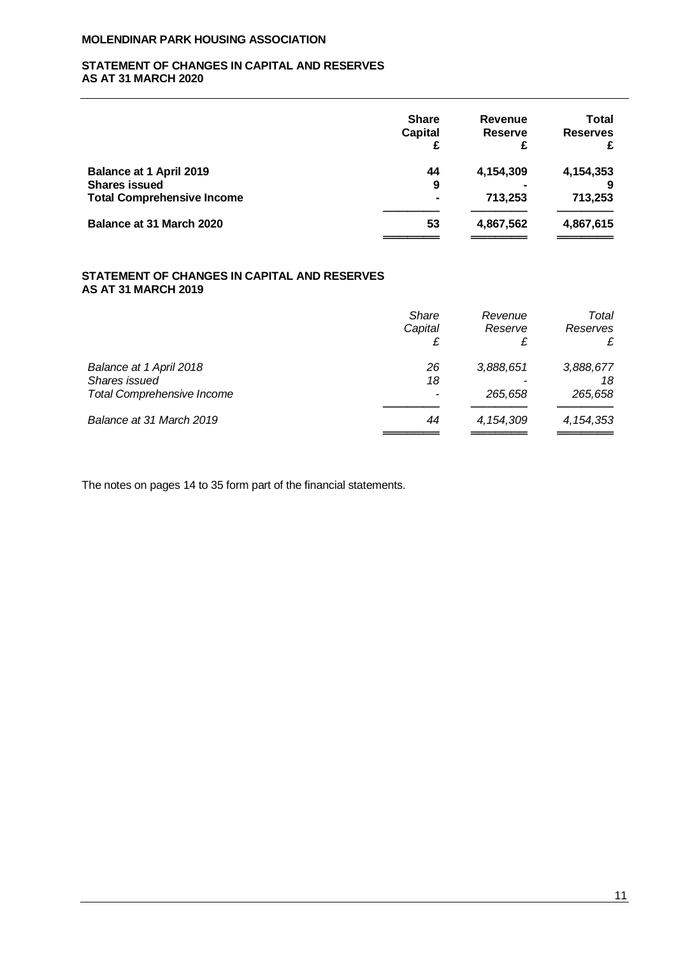# **STATEMENT OF CHANGES IN CAPITAL AND RESERVES AS AT 31 MARCH 2020**

|                                   | <b>Share</b><br><b>Capital</b> | <b>Revenue</b><br><b>Reserve</b><br>£ | <b>Total</b><br><b>Reserves</b><br>£ |
|-----------------------------------|--------------------------------|---------------------------------------|--------------------------------------|
| <b>Balance at 1 April 2019</b>    | 44                             | 4,154,309                             | 4,154,353                            |
| <b>Shares issued</b>              | 9                              |                                       |                                      |
| <b>Total Comprehensive Income</b> | $\blacksquare$                 | 713,253                               | 713,253                              |
| Balance at 31 March 2020          | 53                             | 4,867,562                             | 4,867,615                            |
|                                   |                                |                                       |                                      |

# **STATEMENT OF CHANGES IN CAPITAL AND RESERVES AS AT 31 MARCH 2019**

|                                   | <b>Share</b><br>Capital | Revenue<br>Reserve<br>£ | Total<br>Reserves<br>£ |
|-----------------------------------|-------------------------|-------------------------|------------------------|
| Balance at 1 April 2018           | 26                      | 3,888,651               | 3,888,677              |
| Shares issued                     | 18                      |                         | 18                     |
| <b>Total Comprehensive Income</b> |                         | 265.658                 | 265,658                |
| Balance at 31 March 2019          | 44                      | 4, 154, 309             | 4, 154, 353            |
|                                   |                         |                         |                        |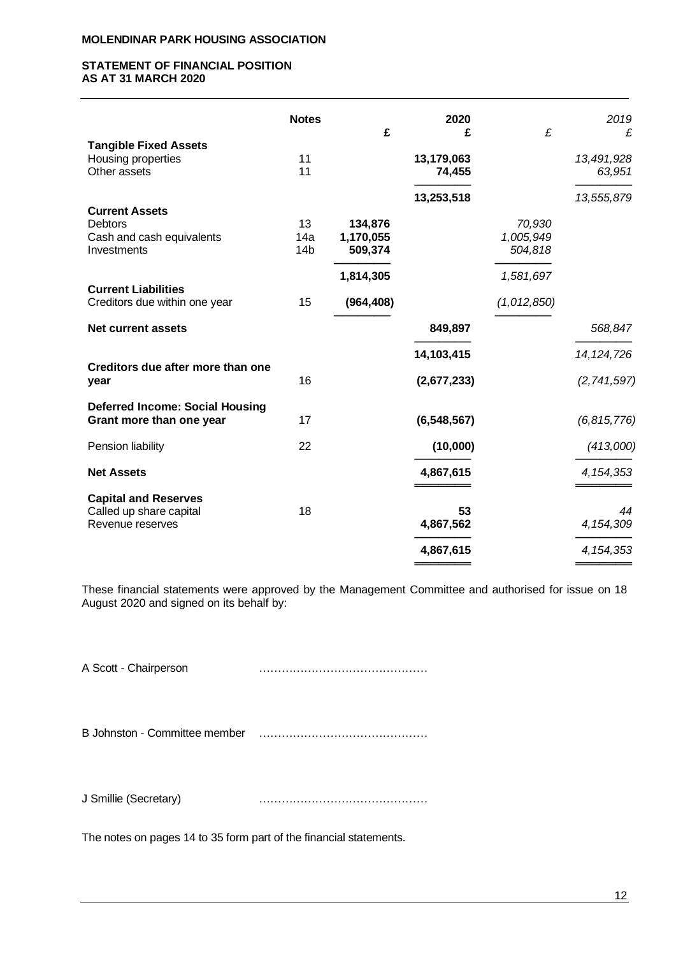# **STATEMENT OF FINANCIAL POSITION AS AT 31 MARCH 2020**

|                                                                    | <b>Notes</b>           | £                    | 2020<br>£            | £                    | 2019<br>£            |
|--------------------------------------------------------------------|------------------------|----------------------|----------------------|----------------------|----------------------|
| <b>Tangible Fixed Assets</b>                                       |                        |                      |                      |                      |                      |
| Housing properties<br>Other assets                                 | 11<br>11               |                      | 13,179,063<br>74,455 |                      | 13,491,928<br>63,951 |
|                                                                    |                        |                      | 13,253,518           |                      | 13,555,879           |
| <b>Current Assets</b><br><b>Debtors</b>                            | 13                     | 134,876              |                      | 70,930               |                      |
| Cash and cash equivalents<br>Investments                           | 14a<br>14 <sub>b</sub> | 1,170,055<br>509,374 |                      | 1,005,949<br>504,818 |                      |
|                                                                    |                        | 1,814,305            |                      | 1,581,697            |                      |
| <b>Current Liabilities</b><br>Creditors due within one year        | 15                     | (964, 408)           |                      | (1,012,850)          |                      |
| <b>Net current assets</b>                                          |                        |                      | 849,897              |                      | 568,847              |
|                                                                    |                        |                      | 14,103,415           |                      | 14, 124, 726         |
| Creditors due after more than one<br>year                          | 16                     |                      | (2,677,233)          |                      | (2,741,597)          |
| <b>Deferred Income: Social Housing</b><br>Grant more than one year | 17                     |                      | (6, 548, 567)        |                      | (6, 815, 776)        |
| Pension liability                                                  | 22                     |                      | (10,000)             |                      | (413,000)            |
| <b>Net Assets</b>                                                  |                        |                      | 4,867,615            |                      | 4, 154, 353          |
| <b>Capital and Reserves</b>                                        |                        |                      |                      |                      |                      |
| Called up share capital<br>Revenue reserves                        | 18                     |                      | 53<br>4,867,562      |                      | 44<br>4, 154, 309    |
|                                                                    |                        |                      | 4,867,615            |                      | 4, 154, 353          |

These financial statements were approved by the Management Committee and authorised for issue on 18 August 2020 and signed on its behalf by:

A Scott - Chairperson ………………………………………

B Johnston - Committee member ………………………………………

J Smillie (Secretary) ………………………………………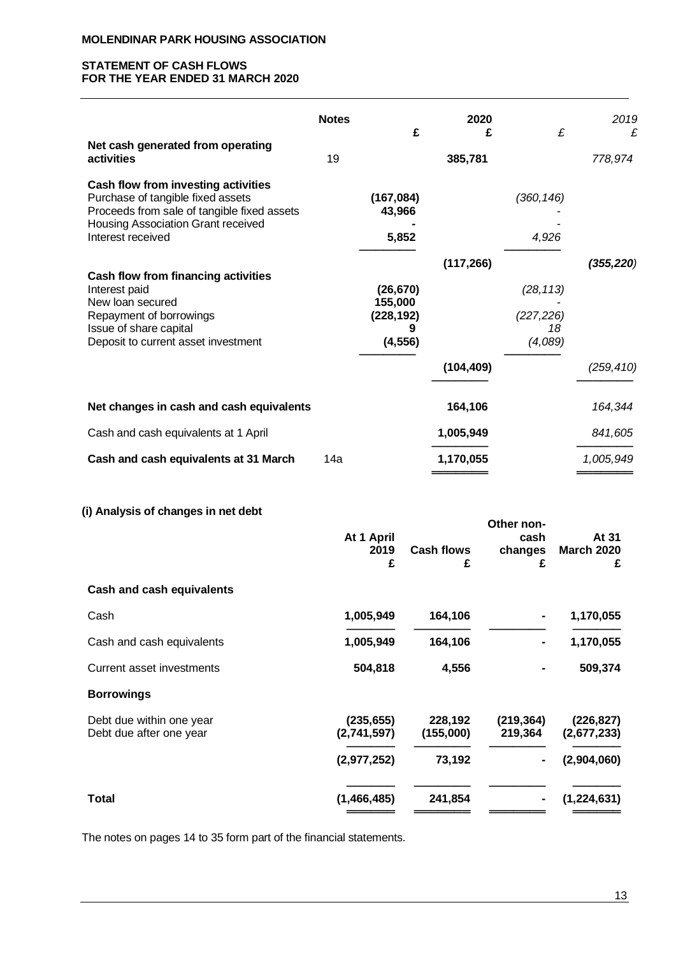# **STATEMENT OF CASH FLOWS FOR THE YEAR ENDED 31 MARCH 2020**

|                                                                                                                                                                                    | <b>Notes</b> | £                                              | 2020<br>£  | £                                        | 2019<br>£  |
|------------------------------------------------------------------------------------------------------------------------------------------------------------------------------------|--------------|------------------------------------------------|------------|------------------------------------------|------------|
| Net cash generated from operating<br>activities                                                                                                                                    | 19           |                                                | 385,781    |                                          | 778,974    |
| Cash flow from investing activities<br>Purchase of tangible fixed assets<br>Proceeds from sale of tangible fixed assets<br>Housing Association Grant received<br>Interest received |              | (167, 084)<br>43,966<br>5,852                  |            | (360, 146)<br>4,926                      |            |
| Cash flow from financing activities<br>Interest paid<br>New loan secured<br>Repayment of borrowings<br>Issue of share capital<br>Deposit to current asset investment               |              | (26, 670)<br>155,000<br>(228, 192)<br>(4, 556) | (117, 266) | (28, 113)<br>(227, 226)<br>18<br>(4,089) | (355, 220) |
|                                                                                                                                                                                    |              |                                                | (104, 409) |                                          | (259, 410) |
| Net changes in cash and cash equivalents                                                                                                                                           |              |                                                | 164,106    |                                          | 164,344    |
| Cash and cash equivalents at 1 April                                                                                                                                               |              |                                                | 1,005,949  |                                          | 841,605    |
| Cash and cash equivalents at 31 March                                                                                                                                              | 14a          |                                                | 1,170,055  |                                          | 1,005,949  |

# **(i) Analysis of changes in net debt**

|                                                     | At 1 April<br>2019<br>£   | <b>Cash flows</b><br>£ | Other non-<br>cash<br>changes<br>£ | At 31<br><b>March 2020</b><br>£ |
|-----------------------------------------------------|---------------------------|------------------------|------------------------------------|---------------------------------|
| Cash and cash equivalents                           |                           |                        |                                    |                                 |
| Cash                                                | 1,005,949                 | 164,106                |                                    | 1,170,055                       |
| Cash and cash equivalents                           | 1,005,949                 | 164,106                |                                    | 1,170,055                       |
| Current asset investments                           | 504,818                   | 4,556                  |                                    | 509,374                         |
| <b>Borrowings</b>                                   |                           |                        |                                    |                                 |
| Debt due within one year<br>Debt due after one year | (235, 655)<br>(2,741,597) | 228,192<br>(155,000)   | (219, 364)<br>219,364              | (226, 827)<br>(2,677,233)       |
|                                                     | (2,977,252)               | 73,192                 |                                    | (2,904,060)                     |
| Total                                               | (1,466,485)               | 241,854                |                                    | (1, 224, 631)                   |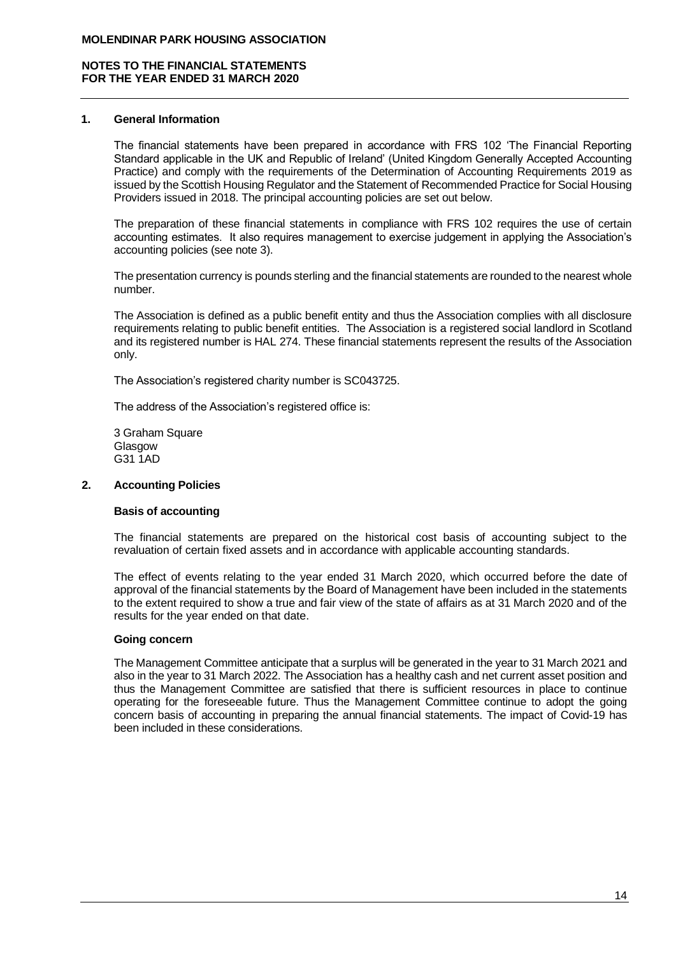## **1. General Information**

The financial statements have been prepared in accordance with FRS 102 'The Financial Reporting Standard applicable in the UK and Republic of Ireland' (United Kingdom Generally Accepted Accounting Practice) and comply with the requirements of the Determination of Accounting Requirements 2019 as issued by the Scottish Housing Regulator and the Statement of Recommended Practice for Social Housing Providers issued in 2018. The principal accounting policies are set out below.

The preparation of these financial statements in compliance with FRS 102 requires the use of certain accounting estimates. It also requires management to exercise judgement in applying the Association's accounting policies (see note 3).

The presentation currency is pounds sterling and the financial statements are rounded to the nearest whole number.

The Association is defined as a public benefit entity and thus the Association complies with all disclosure requirements relating to public benefit entities. The Association is a registered social landlord in Scotland and its registered number is HAL 274. These financial statements represent the results of the Association only.

The Association's registered charity number is SC043725.

The address of the Association's registered office is:

3 Graham Square Glasgow G31 1AD

# **2. Accounting Policies**

# **Basis of accounting**

The financial statements are prepared on the historical cost basis of accounting subject to the revaluation of certain fixed assets and in accordance with applicable accounting standards.

The effect of events relating to the year ended 31 March 2020, which occurred before the date of approval of the financial statements by the Board of Management have been included in the statements to the extent required to show a true and fair view of the state of affairs as at 31 March 2020 and of the results for the year ended on that date.

## **Going concern**

The Management Committee anticipate that a surplus will be generated in the year to 31 March 2021 and also in the year to 31 March 2022. The Association has a healthy cash and net current asset position and thus the Management Committee are satisfied that there is sufficient resources in place to continue operating for the foreseeable future. Thus the Management Committee continue to adopt the going concern basis of accounting in preparing the annual financial statements. The impact of Covid-19 has been included in these considerations.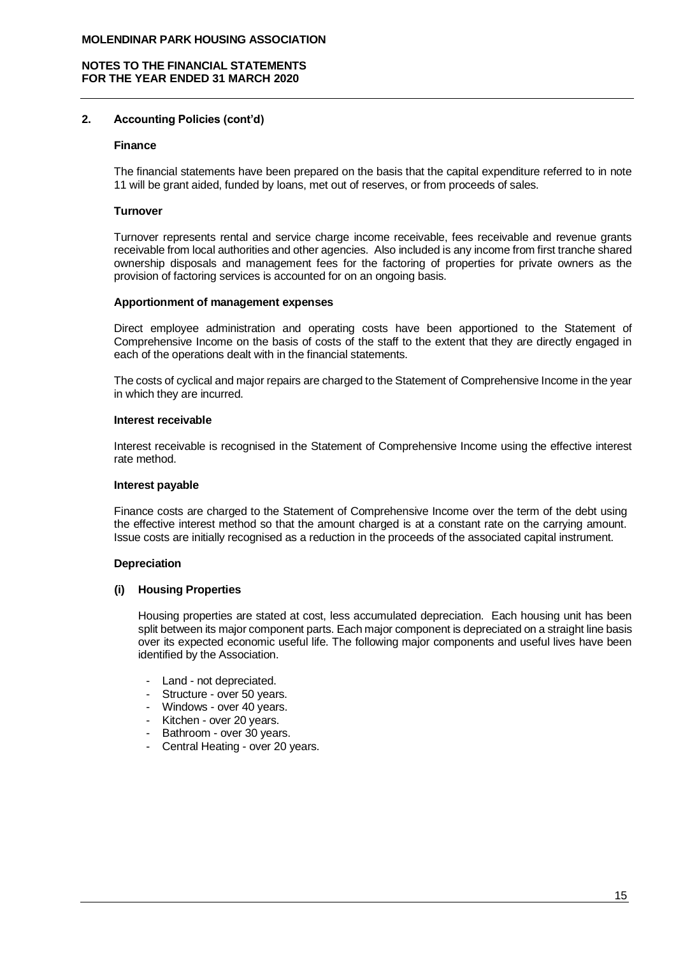# **2. Accounting Policies (cont'd)**

#### **Finance**

The financial statements have been prepared on the basis that the capital expenditure referred to in note 11 will be grant aided, funded by loans, met out of reserves, or from proceeds of sales.

## **Turnover**

Turnover represents rental and service charge income receivable, fees receivable and revenue grants receivable from local authorities and other agencies. Also included is any income from first tranche shared ownership disposals and management fees for the factoring of properties for private owners as the provision of factoring services is accounted for on an ongoing basis.

## **Apportionment of management expenses**

Direct employee administration and operating costs have been apportioned to the Statement of Comprehensive Income on the basis of costs of the staff to the extent that they are directly engaged in each of the operations dealt with in the financial statements.

The costs of cyclical and major repairs are charged to the Statement of Comprehensive Income in the year in which they are incurred.

#### **Interest receivable**

Interest receivable is recognised in the Statement of Comprehensive Income using the effective interest rate method.

#### **Interest payable**

Finance costs are charged to the Statement of Comprehensive Income over the term of the debt using the effective interest method so that the amount charged is at a constant rate on the carrying amount. Issue costs are initially recognised as a reduction in the proceeds of the associated capital instrument.

## **Depreciation**

## **(i) Housing Properties**

Housing properties are stated at cost, less accumulated depreciation. Each housing unit has been split between its major component parts. Each major component is depreciated on a straight line basis over its expected economic useful life. The following major components and useful lives have been identified by the Association.

- Land not depreciated.
- Structure over 50 years.
- Windows over 40 years.
- Kitchen over 20 years.
- Bathroom over 30 years.
- Central Heating over 20 years.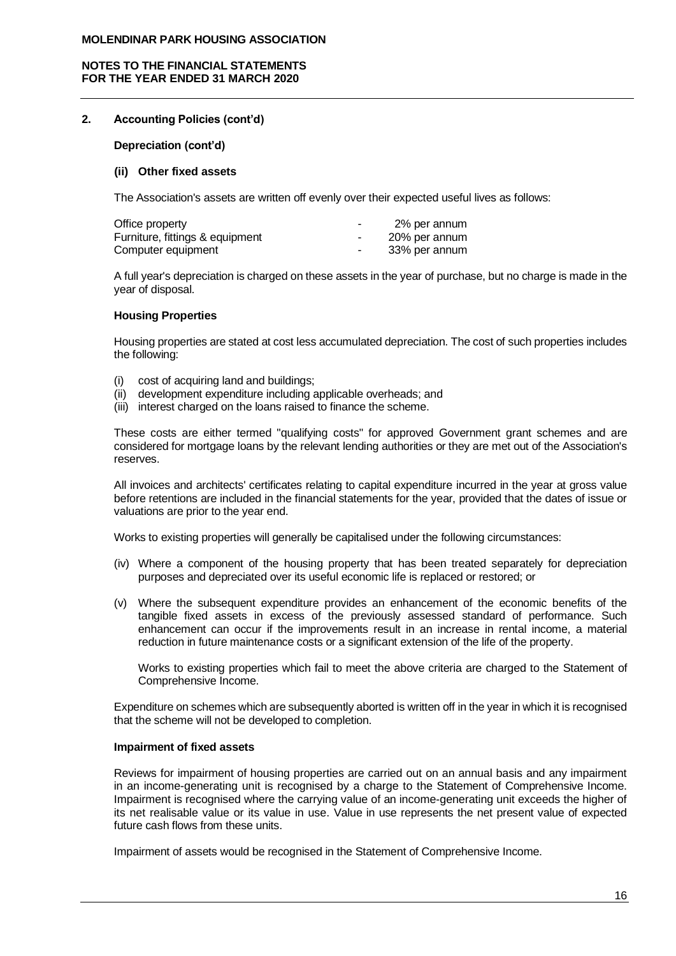## **NOTES TO THE FINANCIAL STATEMENTS FOR THE YEAR ENDED 31 MARCH 2020**

# **2. Accounting Policies (cont'd)**

**Depreciation (cont'd)**

#### **(ii) Other fixed assets**

The Association's assets are written off evenly over their expected useful lives as follows:

| Office property                 | ۰ | 2% per annum  |  |
|---------------------------------|---|---------------|--|
| Furniture, fittings & equipment | ٠ | 20% per annum |  |
| Computer equipment              | ٠ | 33% per annum |  |

A full year's depreciation is charged on these assets in the year of purchase, but no charge is made in the year of disposal.

#### **Housing Properties**

Housing properties are stated at cost less accumulated depreciation. The cost of such properties includes the following:

- (i) cost of acquiring land and buildings;
- (ii) development expenditure including applicable overheads; and
- (iii) interest charged on the loans raised to finance the scheme.

These costs are either termed "qualifying costs" for approved Government grant schemes and are considered for mortgage loans by the relevant lending authorities or they are met out of the Association's reserves.

All invoices and architects' certificates relating to capital expenditure incurred in the year at gross value before retentions are included in the financial statements for the year, provided that the dates of issue or valuations are prior to the year end.

Works to existing properties will generally be capitalised under the following circumstances:

- (iv) Where a component of the housing property that has been treated separately for depreciation purposes and depreciated over its useful economic life is replaced or restored; or
- (v) Where the subsequent expenditure provides an enhancement of the economic benefits of the tangible fixed assets in excess of the previously assessed standard of performance. Such enhancement can occur if the improvements result in an increase in rental income, a material reduction in future maintenance costs or a significant extension of the life of the property.

Works to existing properties which fail to meet the above criteria are charged to the Statement of Comprehensive Income.

Expenditure on schemes which are subsequently aborted is written off in the year in which it is recognised that the scheme will not be developed to completion.

#### **Impairment of fixed assets**

Reviews for impairment of housing properties are carried out on an annual basis and any impairment in an income-generating unit is recognised by a charge to the Statement of Comprehensive Income. Impairment is recognised where the carrying value of an income-generating unit exceeds the higher of its net realisable value or its value in use. Value in use represents the net present value of expected future cash flows from these units.

Impairment of assets would be recognised in the Statement of Comprehensive Income.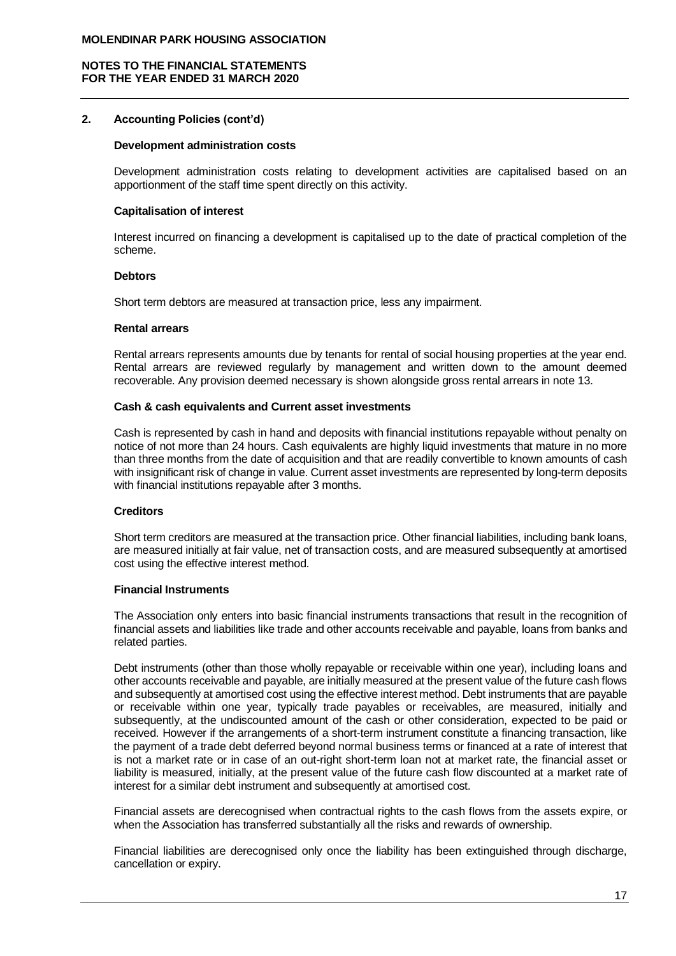# **2. Accounting Policies (cont'd)**

#### **Development administration costs**

Development administration costs relating to development activities are capitalised based on an apportionment of the staff time spent directly on this activity.

## **Capitalisation of interest**

Interest incurred on financing a development is capitalised up to the date of practical completion of the scheme.

## **Debtors**

Short term debtors are measured at transaction price, less any impairment.

## **Rental arrears**

Rental arrears represents amounts due by tenants for rental of social housing properties at the year end. Rental arrears are reviewed regularly by management and written down to the amount deemed recoverable. Any provision deemed necessary is shown alongside gross rental arrears in note 13.

## **Cash & cash equivalents and Current asset investments**

Cash is represented by cash in hand and deposits with financial institutions repayable without penalty on notice of not more than 24 hours. Cash equivalents are highly liquid investments that mature in no more than three months from the date of acquisition and that are readily convertible to known amounts of cash with insignificant risk of change in value. Current asset investments are represented by long-term deposits with financial institutions repayable after 3 months.

## **Creditors**

Short term creditors are measured at the transaction price. Other financial liabilities, including bank loans, are measured initially at fair value, net of transaction costs, and are measured subsequently at amortised cost using the effective interest method.

## **Financial Instruments**

The Association only enters into basic financial instruments transactions that result in the recognition of financial assets and liabilities like trade and other accounts receivable and payable, loans from banks and related parties.

Debt instruments (other than those wholly repayable or receivable within one year), including loans and other accounts receivable and payable, are initially measured at the present value of the future cash flows and subsequently at amortised cost using the effective interest method. Debt instruments that are payable or receivable within one year, typically trade payables or receivables, are measured, initially and subsequently, at the undiscounted amount of the cash or other consideration, expected to be paid or received. However if the arrangements of a short-term instrument constitute a financing transaction, like the payment of a trade debt deferred beyond normal business terms or financed at a rate of interest that is not a market rate or in case of an out-right short-term loan not at market rate, the financial asset or liability is measured, initially, at the present value of the future cash flow discounted at a market rate of interest for a similar debt instrument and subsequently at amortised cost.

Financial assets are derecognised when contractual rights to the cash flows from the assets expire, or when the Association has transferred substantially all the risks and rewards of ownership.

Financial liabilities are derecognised only once the liability has been extinguished through discharge, cancellation or expiry.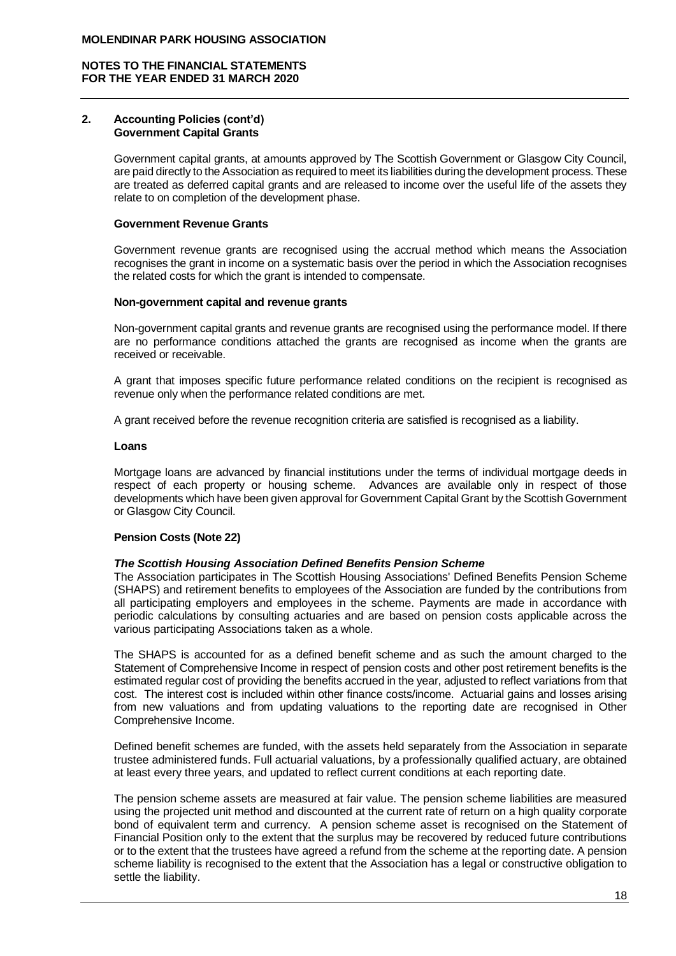#### **2. Accounting Policies (cont'd) Government Capital Grants**

Government capital grants, at amounts approved by The Scottish Government or Glasgow City Council, are paid directly to the Association as required to meet its liabilities during the development process. These are treated as deferred capital grants and are released to income over the useful life of the assets they relate to on completion of the development phase.

## **Government Revenue Grants**

Government revenue grants are recognised using the accrual method which means the Association recognises the grant in income on a systematic basis over the period in which the Association recognises the related costs for which the grant is intended to compensate.

#### **Non-government capital and revenue grants**

Non-government capital grants and revenue grants are recognised using the performance model. If there are no performance conditions attached the grants are recognised as income when the grants are received or receivable.

A grant that imposes specific future performance related conditions on the recipient is recognised as revenue only when the performance related conditions are met.

A grant received before the revenue recognition criteria are satisfied is recognised as a liability.

## **Loans**

Mortgage loans are advanced by financial institutions under the terms of individual mortgage deeds in respect of each property or housing scheme. Advances are available only in respect of those developments which have been given approval for Government Capital Grant by the Scottish Government or Glasgow City Council.

## **Pension Costs (Note 22)**

## *The Scottish Housing Association Defined Benefits Pension Scheme*

The Association participates in The Scottish Housing Associations' Defined Benefits Pension Scheme (SHAPS) and retirement benefits to employees of the Association are funded by the contributions from all participating employers and employees in the scheme. Payments are made in accordance with periodic calculations by consulting actuaries and are based on pension costs applicable across the various participating Associations taken as a whole.

The SHAPS is accounted for as a defined benefit scheme and as such the amount charged to the Statement of Comprehensive Income in respect of pension costs and other post retirement benefits is the estimated regular cost of providing the benefits accrued in the year, adjusted to reflect variations from that cost. The interest cost is included within other finance costs/income. Actuarial gains and losses arising from new valuations and from updating valuations to the reporting date are recognised in Other Comprehensive Income.

Defined benefit schemes are funded, with the assets held separately from the Association in separate trustee administered funds. Full actuarial valuations, by a professionally qualified actuary, are obtained at least every three years, and updated to reflect current conditions at each reporting date.

The pension scheme assets are measured at fair value. The pension scheme liabilities are measured using the projected unit method and discounted at the current rate of return on a high quality corporate bond of equivalent term and currency. A pension scheme asset is recognised on the Statement of Financial Position only to the extent that the surplus may be recovered by reduced future contributions or to the extent that the trustees have agreed a refund from the scheme at the reporting date. A pension scheme liability is recognised to the extent that the Association has a legal or constructive obligation to settle the liability.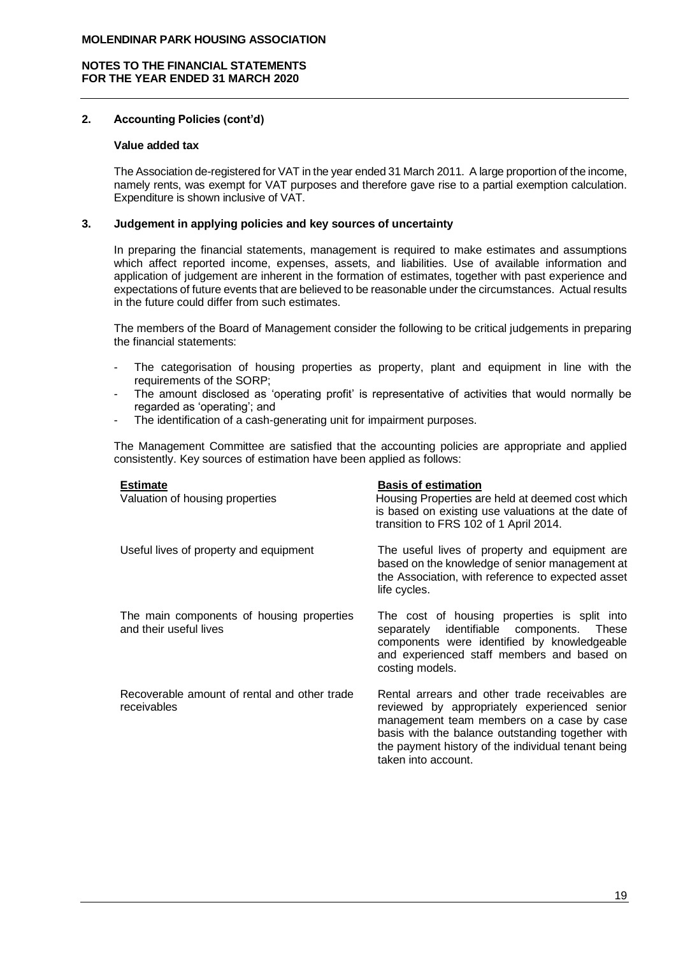# **2. Accounting Policies (cont'd)**

## **Value added tax**

The Association de-registered for VAT in the year ended 31 March 2011. A large proportion of the income, namely rents, was exempt for VAT purposes and therefore gave rise to a partial exemption calculation. Expenditure is shown inclusive of VAT.

# **3. Judgement in applying policies and key sources of uncertainty**

In preparing the financial statements, management is required to make estimates and assumptions which affect reported income, expenses, assets, and liabilities. Use of available information and application of judgement are inherent in the formation of estimates, together with past experience and expectations of future events that are believed to be reasonable under the circumstances. Actual results in the future could differ from such estimates.

The members of the Board of Management consider the following to be critical judgements in preparing the financial statements:

- The categorisation of housing properties as property, plant and equipment in line with the requirements of the SORP;
- The amount disclosed as 'operating profit' is representative of activities that would normally be regarded as 'operating'; and
- The identification of a cash-generating unit for impairment purposes.

The Management Committee are satisfied that the accounting policies are appropriate and applied consistently. Key sources of estimation have been applied as follows:

| <b>Estimate</b><br>Valuation of housing properties                  | <b>Basis of estimation</b><br>Housing Properties are held at deemed cost which<br>is based on existing use valuations at the date of<br>transition to FRS 102 of 1 April 2014.                                                                                               |
|---------------------------------------------------------------------|------------------------------------------------------------------------------------------------------------------------------------------------------------------------------------------------------------------------------------------------------------------------------|
| Useful lives of property and equipment                              | The useful lives of property and equipment are<br>based on the knowledge of senior management at<br>the Association, with reference to expected asset<br>life cycles.                                                                                                        |
| The main components of housing properties<br>and their useful lives | The cost of housing properties is split into<br>separately identifiable components.<br>These<br>components were identified by knowledgeable<br>and experienced staff members and based on<br>costing models.                                                                 |
| Recoverable amount of rental and other trade<br>receivables         | Rental arrears and other trade receivables are<br>reviewed by appropriately experienced senior<br>management team members on a case by case<br>basis with the balance outstanding together with<br>the payment history of the individual tenant being<br>taken into account. |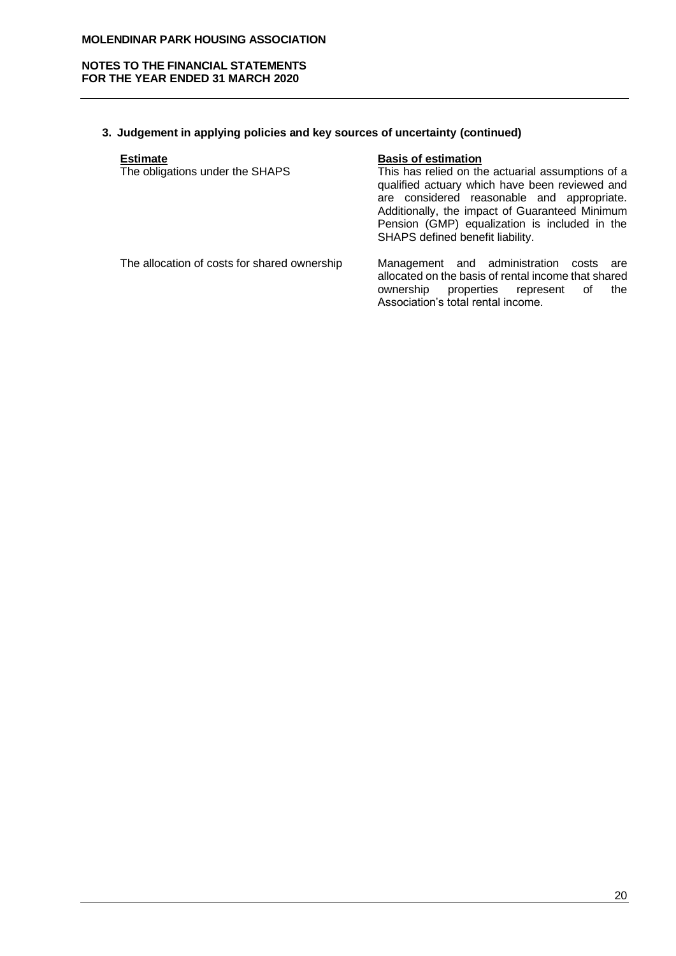# **NOTES TO THE FINANCIAL STATEMENTS FOR THE YEAR ENDED 31 MARCH 2020**

# **3. Judgement in applying policies and key sources of uncertainty (continued)**

| <b>Estimate</b>                 | <b>Basis of estimation</b>                                                                                                                                                                                                                           |
|---------------------------------|------------------------------------------------------------------------------------------------------------------------------------------------------------------------------------------------------------------------------------------------------|
| The obligations under the SHAPS | This has relied on the actuarial assumptions of a<br>qualified actuary which have been reviewed and<br>are considered reasonable and appropriate.<br>Additionally, the impact of Guaranteed Minimum<br>Pension (GMP) equalization is included in the |

## The allocation of costs for shared ownership Management and administration costs are allocated on the basis of rental income that shared ownership properties represent of the Association's total rental income.

SHAPS defined benefit liability.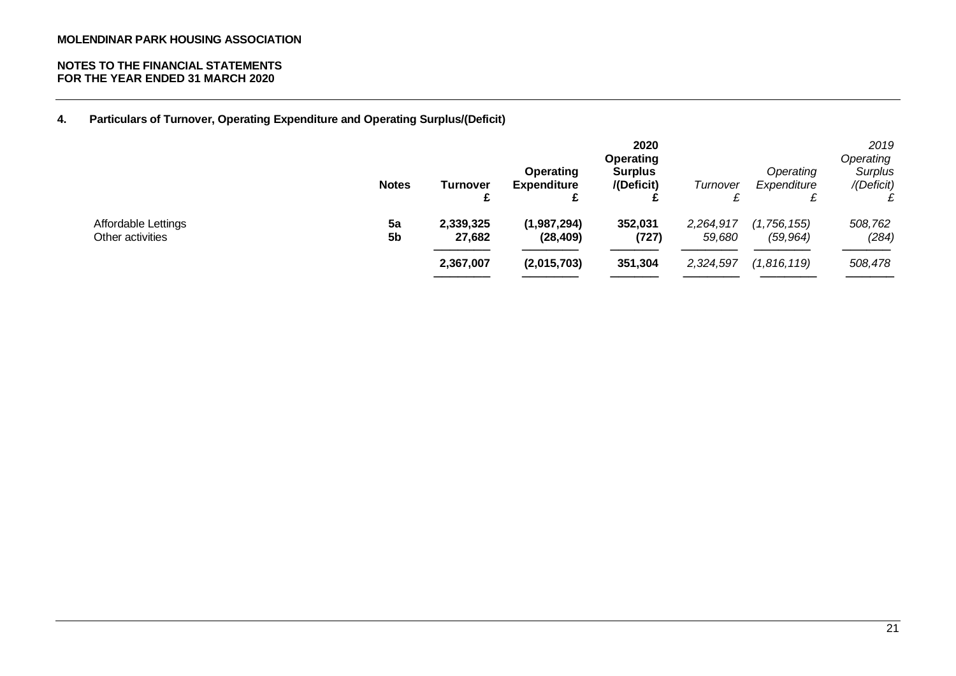**4. Particulars of Turnover, Operating Expenditure and Operating Surplus/(Deficit)**

|                                         | <b>Notes</b>         | Turnover            | <b>Operating</b><br><b>Expenditure</b><br>£ | 2020<br><b>Operating</b><br><b>Surplus</b><br>/(Deficit) | Turnover            | Operating<br>Expenditure | 2019<br>Operating<br>Surplus<br>/(Deficit) |
|-----------------------------------------|----------------------|---------------------|---------------------------------------------|----------------------------------------------------------|---------------------|--------------------------|--------------------------------------------|
| Affordable Lettings<br>Other activities | 5a<br>5 <sub>b</sub> | 2,339,325<br>27,682 | (1,987,294)<br>(28, 409)                    | 352,031<br>(727)                                         | 2,264,917<br>59,680 | (1,756,155)<br>(59, 964) | 508,762<br>(284)                           |
|                                         |                      | 2,367,007           | (2,015,703)                                 | 351,304                                                  | 2,324,597           | (1,816,119)              | 508,478                                    |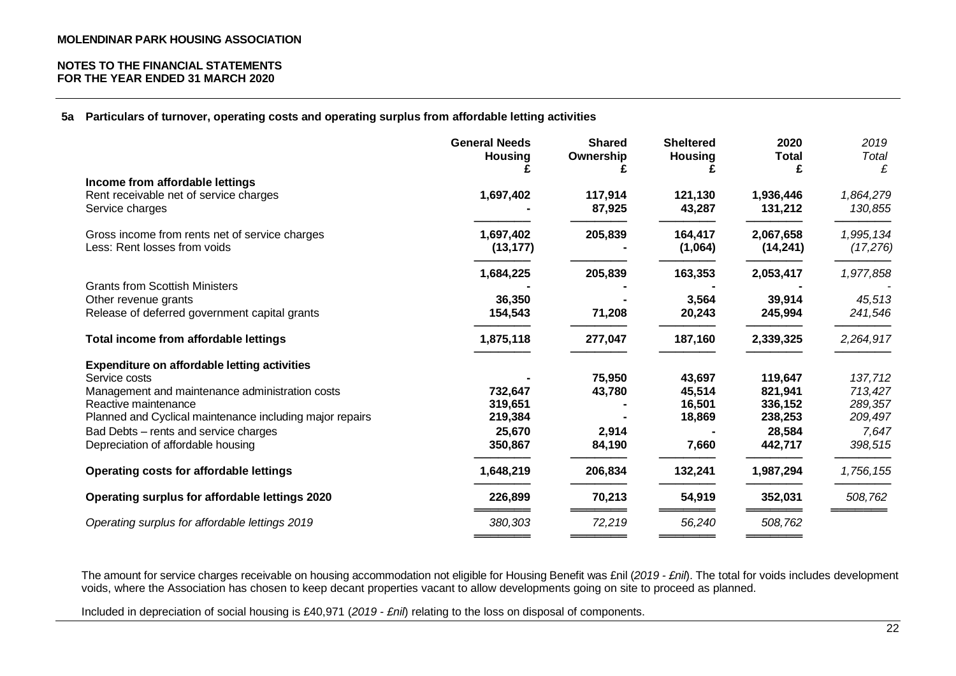**5a Particulars of turnover, operating costs and operating surplus from affordable letting activities**

|                                                                                | <b>General Needs</b><br><b>Housing</b> | <b>Shared</b><br>Ownership | <b>Sheltered</b><br><b>Housing</b> | 2020<br><b>Total</b>   | 2019<br>Total<br>£     |
|--------------------------------------------------------------------------------|----------------------------------------|----------------------------|------------------------------------|------------------------|------------------------|
| Income from affordable lettings                                                |                                        |                            |                                    |                        |                        |
| Rent receivable net of service charges<br>Service charges                      | 1,697,402                              | 117,914<br>87,925          | 121,130<br>43,287                  | 1,936,446<br>131,212   | 1,864,279<br>130,855   |
| Gross income from rents net of service charges<br>Less: Rent losses from voids | 1,697,402<br>(13, 177)                 | 205,839                    | 164,417<br>(1,064)                 | 2,067,658<br>(14, 241) | 1,995,134<br>(17, 276) |
|                                                                                | 1,684,225                              | 205,839                    | 163,353                            | 2,053,417              | 1,977,858              |
| <b>Grants from Scottish Ministers</b>                                          |                                        |                            |                                    |                        |                        |
| Other revenue grants<br>Release of deferred government capital grants          | 36,350<br>154,543                      | 71,208                     | 3,564<br>20,243                    | 39,914<br>245,994      | 45,513<br>241,546      |
| Total income from affordable lettings                                          | 1,875,118                              | 277,047                    | 187,160                            | 2,339,325              | 2,264,917              |
| <b>Expenditure on affordable letting activities</b>                            |                                        |                            |                                    |                        |                        |
| Service costs                                                                  |                                        | 75,950                     | 43,697                             | 119,647                | 137,712                |
| Management and maintenance administration costs                                | 732,647                                | 43,780                     | 45,514                             | 821,941                | 713,427                |
| Reactive maintenance                                                           | 319,651                                |                            | 16,501                             | 336,152                | 289,357                |
| Planned and Cyclical maintenance including major repairs                       | 219,384                                |                            | 18,869                             | 238,253                | 209,497                |
| Bad Debts - rents and service charges                                          | 25,670                                 | 2,914                      |                                    | 28,584                 | 7,647                  |
| Depreciation of affordable housing                                             | 350,867                                | 84,190                     | 7,660                              | 442,717                | 398,515                |
| Operating costs for affordable lettings                                        | 1,648,219                              | 206,834                    | 132,241                            | 1,987,294              | 1,756,155              |
| Operating surplus for affordable lettings 2020                                 | 226,899                                | 70,213                     | 54,919                             | 352,031                | 508,762                |
| Operating surplus for affordable lettings 2019                                 | 380,303                                | 72,219                     | 56,240                             | 508,762                |                        |
|                                                                                |                                        |                            |                                    |                        |                        |

The amount for service charges receivable on housing accommodation not eligible for Housing Benefit was £nil (*2019 - £nil*). The total for voids includes development voids, where the Association has chosen to keep decant properties vacant to allow developments going on site to proceed as planned.

Included in depreciation of social housing is £40,971 (*2019 - £nil*) relating to the loss on disposal of components.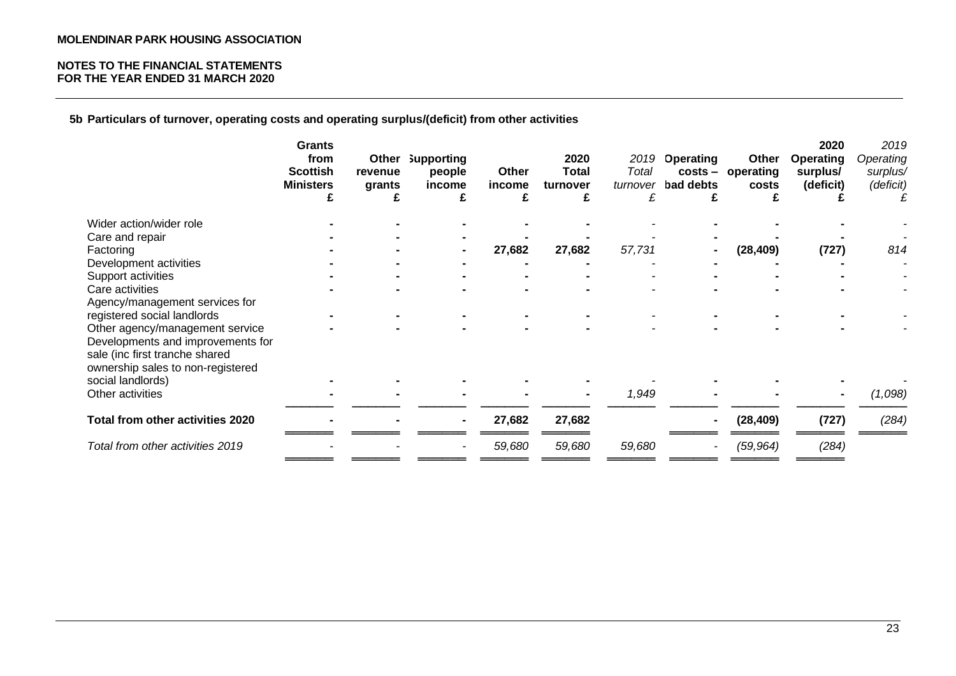# **NOTES TO THE FINANCIAL STATEMENTS FOR THE YEAR ENDED 31 MARCH 2020**

**5b Particulars of turnover, operating costs and operating surplus/(deficit) from other activities**

|                                   | <b>Grants</b><br>from<br><b>Scottish</b><br><b>Ministers</b><br>£ | Other<br>revenue<br>grants<br>£ | <b>Supporting</b><br>people<br>income<br>£ | Other<br>income<br>£ | 2020<br><b>Total</b><br>turnover<br>£ | 2019<br>Total<br>turnover<br>£ | <b>Operating</b><br>bad debts<br>£ | Other<br>costs - operating<br>costs | 2020<br><b>Operating</b><br>surplus/<br>(deficit) | 2019<br>Operating<br>surplus/<br>(deficit)<br>£ |
|-----------------------------------|-------------------------------------------------------------------|---------------------------------|--------------------------------------------|----------------------|---------------------------------------|--------------------------------|------------------------------------|-------------------------------------|---------------------------------------------------|-------------------------------------------------|
| Wider action/wider role           |                                                                   |                                 |                                            |                      |                                       |                                |                                    |                                     |                                                   |                                                 |
| Care and repair                   |                                                                   |                                 |                                            |                      |                                       |                                |                                    |                                     |                                                   |                                                 |
| Factoring                         |                                                                   |                                 |                                            | 27,682               | 27,682                                | 57,731                         |                                    | (28, 409)                           | (727)                                             | 814                                             |
| Development activities            |                                                                   |                                 |                                            |                      |                                       |                                |                                    |                                     |                                                   |                                                 |
| Support activities                |                                                                   |                                 |                                            |                      |                                       |                                |                                    |                                     |                                                   |                                                 |
| Care activities                   |                                                                   |                                 |                                            |                      |                                       |                                |                                    |                                     |                                                   |                                                 |
| Agency/management services for    |                                                                   |                                 |                                            |                      |                                       |                                |                                    |                                     |                                                   |                                                 |
| registered social landlords       |                                                                   |                                 |                                            |                      |                                       |                                |                                    |                                     |                                                   |                                                 |
| Other agency/management service   |                                                                   |                                 |                                            |                      |                                       |                                |                                    |                                     |                                                   |                                                 |
| Developments and improvements for |                                                                   |                                 |                                            |                      |                                       |                                |                                    |                                     |                                                   |                                                 |
| sale (inc first tranche shared    |                                                                   |                                 |                                            |                      |                                       |                                |                                    |                                     |                                                   |                                                 |
| ownership sales to non-registered |                                                                   |                                 |                                            |                      |                                       |                                |                                    |                                     |                                                   |                                                 |
| social landlords)                 |                                                                   |                                 |                                            |                      |                                       |                                |                                    |                                     |                                                   |                                                 |
| Other activities                  |                                                                   |                                 |                                            |                      |                                       | 1,949                          |                                    |                                     |                                                   | (1,098)                                         |
| Total from other activities 2020  |                                                                   |                                 |                                            | 27,682               | 27,682                                |                                | $\blacksquare$                     | (28, 409)                           | (727)                                             | (284)                                           |
|                                   |                                                                   |                                 |                                            |                      |                                       |                                |                                    |                                     |                                                   |                                                 |
| Total from other activities 2019  |                                                                   |                                 |                                            | 59,680               | 59,680                                | 59,680                         |                                    | (59, 964)                           | (284)                                             |                                                 |
|                                   |                                                                   |                                 |                                            |                      |                                       |                                |                                    |                                     |                                                   |                                                 |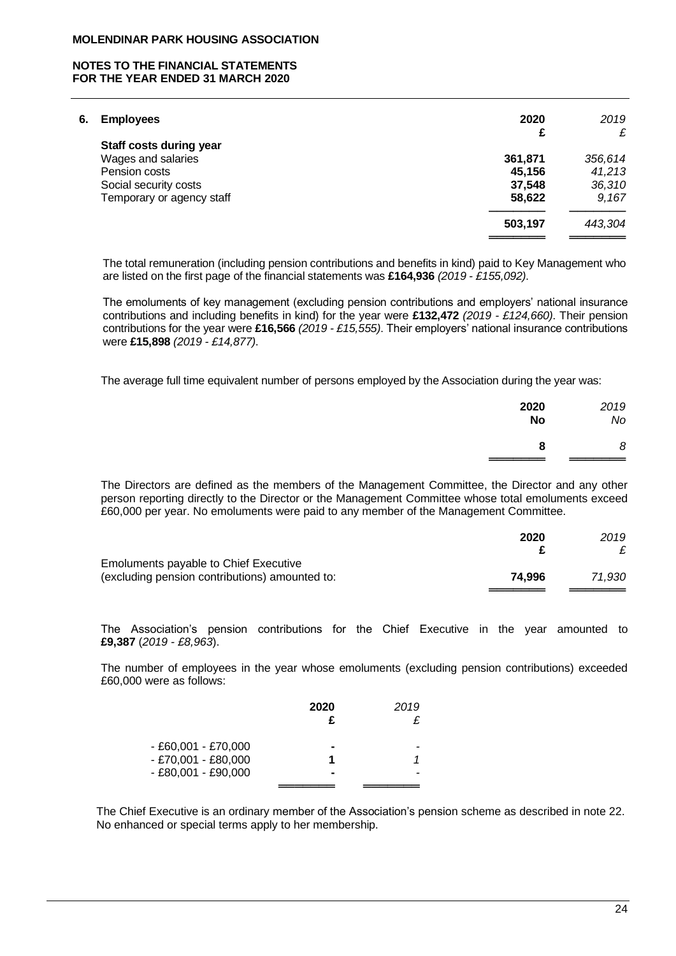## **NOTES TO THE FINANCIAL STATEMENTS FOR THE YEAR ENDED 31 MARCH 2020**

| 2020    | 2019         |
|---------|--------------|
|         | £            |
|         | 356,614      |
| 45,156  | 41,213       |
| 37,548  | 36,310       |
| 58,622  | 9,167        |
| 503,197 | 443,304      |
|         | £<br>361,871 |

The total remuneration (including pension contributions and benefits in kind) paid to Key Management who are listed on the first page of the financial statements was **£164,936** *(2019 - £155,092)*.

The emoluments of key management (excluding pension contributions and employers' national insurance contributions and including benefits in kind) for the year were **£132,472** *(2019 - £124,660)*. Their pension contributions for the year were **£16,566** *(2019 - £15,555)*. Their employers' national insurance contributions were **£15,898** *(2019 - £14,877)*.

The average full time equivalent number of persons employed by the Association during the year was:

| 2020      | 2019 |
|-----------|------|
| <b>No</b> | No   |
| 8         | 8    |

The Directors are defined as the members of the Management Committee, the Director and any other person reporting directly to the Director or the Management Committee whose total emoluments exceed £60,000 per year. No emoluments were paid to any member of the Management Committee.

|                                                | 2020   | 2019   |
|------------------------------------------------|--------|--------|
|                                                |        |        |
| Emoluments payable to Chief Executive          |        |        |
| (excluding pension contributions) amounted to: | 74.996 | 71.930 |
|                                                |        |        |

The Association's pension contributions for the Chief Executive in the year amounted to **£9,387** (*2019 - £8,963*).

The number of employees in the year whose emoluments (excluding pension contributions) exceeded £60,000 were as follows:

|                     | 2020 | 2019 |
|---------------------|------|------|
| - £60,001 - £70,000 |      |      |
| - £70,001 - £80,000 |      |      |
| - £80,001 - £90,000 |      |      |
|                     |      |      |

The Chief Executive is an ordinary member of the Association's pension scheme as described in note 22. No enhanced or special terms apply to her membership.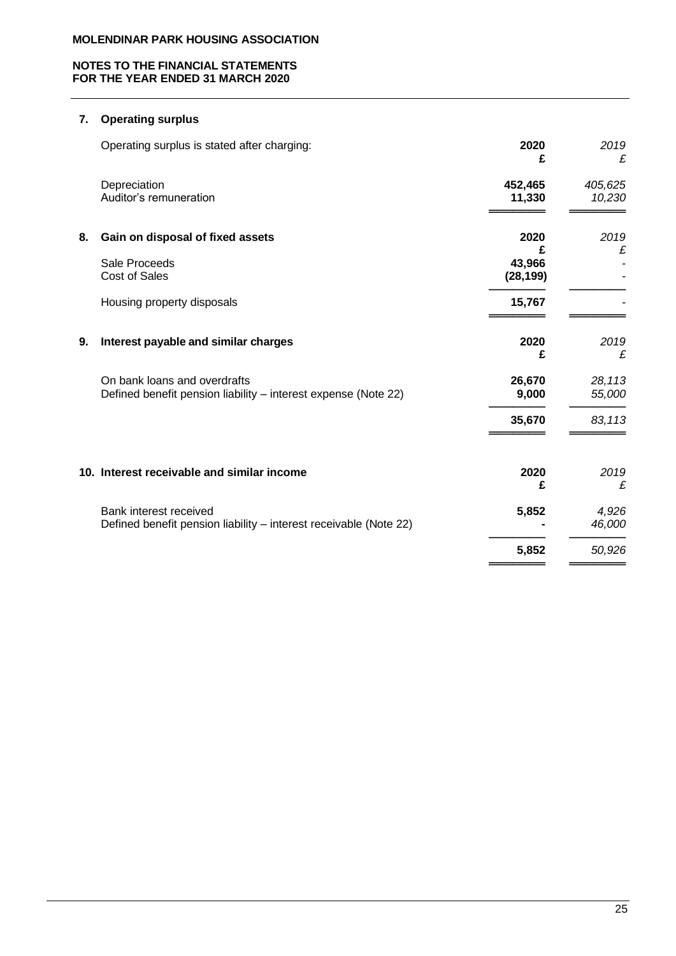# **NOTES TO THE FINANCIAL STATEMENTS FOR THE YEAR ENDED 31 MARCH 2020**

# **7. Operating surplus**

|    | Operating surplus is stated after charging:                                                    | 2020<br>£                | 2019<br>£         |
|----|------------------------------------------------------------------------------------------------|--------------------------|-------------------|
|    | Depreciation<br>Auditor's remuneration                                                         | 452,465<br>11,330        | 405,625<br>10,230 |
| 8. | Gain on disposal of fixed assets                                                               | 2020                     | 2019              |
|    | Sale Proceeds<br><b>Cost of Sales</b>                                                          | £<br>43,966<br>(28, 199) | £                 |
|    | Housing property disposals                                                                     | 15,767                   |                   |
| 9. | Interest payable and similar charges                                                           | 2020<br>£                | 2019<br>£         |
|    | On bank loans and overdrafts<br>Defined benefit pension liability – interest expense (Note 22) | 26,670<br>9,000          | 28,113<br>55,000  |
|    |                                                                                                | 35,670                   | 83,113            |
|    | 10. Interest receivable and similar income                                                     | 2020<br>£                | 2019<br>£         |
|    | Bank interest received<br>Defined benefit pension liability - interest receivable (Note 22)    | 5,852                    | 4,926<br>46,000   |
|    |                                                                                                | 5,852                    | 50,926            |
|    |                                                                                                |                          |                   |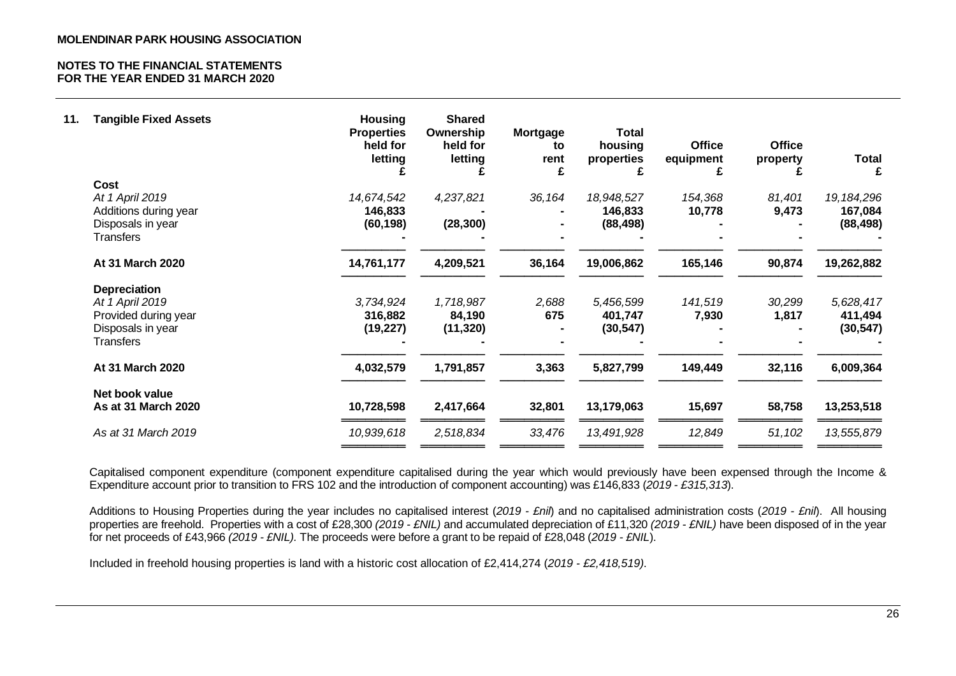| <b>Office</b><br>property | <b>Office</b><br>equipment | <b>Total</b><br>housing<br>properties<br>£ | Mortgage<br>to<br>rent                                        | <b>Shared</b><br>Ownership<br>held for<br>letting | <b>Housing</b><br><b>Properties</b><br>held for<br>letting | <b>Tangible Fixed Assets</b>                     | 11.                                                                                                                                                |
|---------------------------|----------------------------|--------------------------------------------|---------------------------------------------------------------|---------------------------------------------------|------------------------------------------------------------|--------------------------------------------------|----------------------------------------------------------------------------------------------------------------------------------------------------|
|                           |                            |                                            |                                                               |                                                   |                                                            | Cost                                             |                                                                                                                                                    |
|                           |                            |                                            |                                                               |                                                   |                                                            |                                                  |                                                                                                                                                    |
|                           |                            |                                            |                                                               |                                                   |                                                            |                                                  |                                                                                                                                                    |
|                           |                            |                                            |                                                               |                                                   |                                                            |                                                  |                                                                                                                                                    |
|                           |                            |                                            |                                                               |                                                   |                                                            |                                                  |                                                                                                                                                    |
| 90,874                    | 165,146                    | 19,006,862                                 | 36,164                                                        | 4,209,521                                         | 14,761,177                                                 | At 31 March 2020                                 |                                                                                                                                                    |
|                           |                            |                                            |                                                               |                                                   |                                                            | <b>Depreciation</b>                              |                                                                                                                                                    |
| 30,299                    | 141,519                    | 5,456,599                                  | 2,688                                                         | 1,718,987                                         | 3,734,924                                                  | At 1 April 2019                                  |                                                                                                                                                    |
| 1,817                     |                            | 401,747                                    | 675                                                           | 84,190                                            | 316,882                                                    |                                                  |                                                                                                                                                    |
|                           |                            |                                            |                                                               |                                                   | (19, 227)                                                  | Disposals in year                                |                                                                                                                                                    |
|                           |                            |                                            |                                                               |                                                   |                                                            | <b>Transfers</b>                                 |                                                                                                                                                    |
| 32,116                    | 149,449                    | 5,827,799                                  | 3,363                                                         | 1,791,857                                         | 4,032,579                                                  | At 31 March 2020                                 |                                                                                                                                                    |
|                           |                            |                                            |                                                               |                                                   |                                                            |                                                  |                                                                                                                                                    |
| 58,758                    | 15,697                     | 13,179,063                                 | 32,801                                                        | 2,417,664                                         | 10,728,598                                                 | As at 31 March 2020                              |                                                                                                                                                    |
|                           |                            |                                            |                                                               |                                                   |                                                            |                                                  |                                                                                                                                                    |
|                           | 81,401<br>9,473<br>51,102  | 154,368<br>10,778<br>7,930<br>12,849       | 18,948,527<br>146,833<br>(88, 498)<br>(30, 547)<br>13,491,928 | 36,164<br>33,476                                  | 4,237,821<br>(28, 300)<br>(11, 320)<br>2,518,834           | 14,674,542<br>146,833<br>(60, 198)<br>10,939,618 | At 1 April 2019<br>Additions during year<br>Disposals in year<br><b>Transfers</b><br>Provided during year<br>Net book value<br>As at 31 March 2019 |

Capitalised component expenditure (component expenditure capitalised during the year which would previously have been expensed through the Income & Expenditure account prior to transition to FRS 102 and the introduction of component accounting) was £146,833 (*2019 - £315,313*).

Additions to Housing Properties during the year includes no capitalised interest (*2019 - £nil*) and no capitalised administration costs (*2019 - £nil*). All housing properties are freehold. Properties with a cost of £28,300 *(2019 - £NIL)* and accumulated depreciation of £11,320 *(2019 - £NIL)* have been disposed of in the year for net proceeds of £43,966 *(2019 - £NIL).* The proceeds were before a grant to be repaid of £28,048 (*2019 - £NIL*).

Included in freehold housing properties is land with a historic cost allocation of £2,414,274 (*2019 - £2,418,519)*.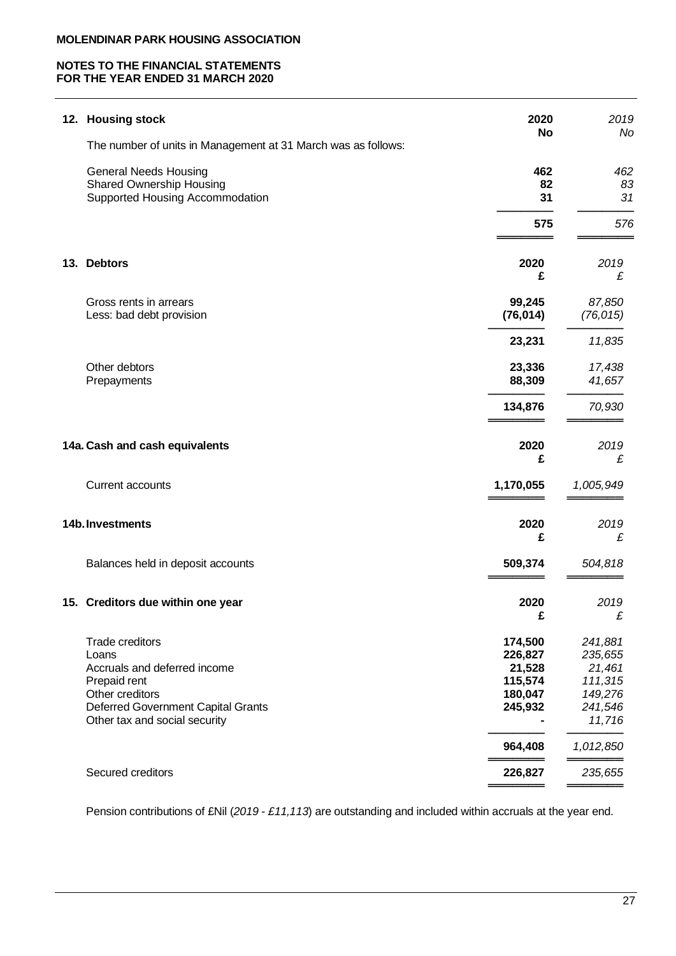# **NOTES TO THE FINANCIAL STATEMENTS FOR THE YEAR ENDED 31 MARCH 2020**

|     | 12. Housing stock                                                                                                                                                         | 2020<br>No                                                    | 2019<br>Nc                                                              |
|-----|---------------------------------------------------------------------------------------------------------------------------------------------------------------------------|---------------------------------------------------------------|-------------------------------------------------------------------------|
|     | The number of units in Management at 31 March was as follows:                                                                                                             |                                                               |                                                                         |
|     | <b>General Needs Housing</b><br><b>Shared Ownership Housing</b><br>Supported Housing Accommodation                                                                        | 462<br>82<br>31                                               | 462<br>83<br>31                                                         |
|     |                                                                                                                                                                           | 575                                                           | 576                                                                     |
| 13. | <b>Debtors</b>                                                                                                                                                            | 2020<br>£                                                     | 2019<br>£                                                               |
|     | Gross rents in arrears<br>Less: bad debt provision                                                                                                                        | 99,245<br>(76, 014)                                           | 87,850<br>(76, 015)                                                     |
|     |                                                                                                                                                                           | 23,231                                                        | 11,835                                                                  |
|     | Other debtors<br>Prepayments                                                                                                                                              | 23,336<br>88,309                                              | 17,438<br>41,657                                                        |
|     |                                                                                                                                                                           | 134,876                                                       | 70,930                                                                  |
|     | 14a. Cash and cash equivalents                                                                                                                                            | 2020<br>£                                                     | 2019<br>£                                                               |
|     | <b>Current accounts</b>                                                                                                                                                   | 1,170,055                                                     | 1,005,949                                                               |
|     | 14b. Investments                                                                                                                                                          | 2020<br>£                                                     | 2019<br>£                                                               |
|     | Balances held in deposit accounts                                                                                                                                         | 509,374                                                       | 504,818                                                                 |
|     | 15. Creditors due within one year                                                                                                                                         | 2020<br>£                                                     | 2019<br>£                                                               |
|     | <b>Trade creditors</b><br>Loans<br>Accruals and deferred income<br>Prepaid rent<br>Other creditors<br>Deferred Government Capital Grants<br>Other tax and social security | 174,500<br>226,827<br>21,528<br>115,574<br>180,047<br>245,932 | 241,881<br>235,655<br>21,461<br>111,315<br>149,276<br>241,546<br>11,716 |
|     |                                                                                                                                                                           | 964,408                                                       | 1,012,850                                                               |
|     | Secured creditors                                                                                                                                                         | 226,827                                                       | 235,655                                                                 |

Pension contributions of £Nil (*2019 - £11,113*) are outstanding and included within accruals at the year end.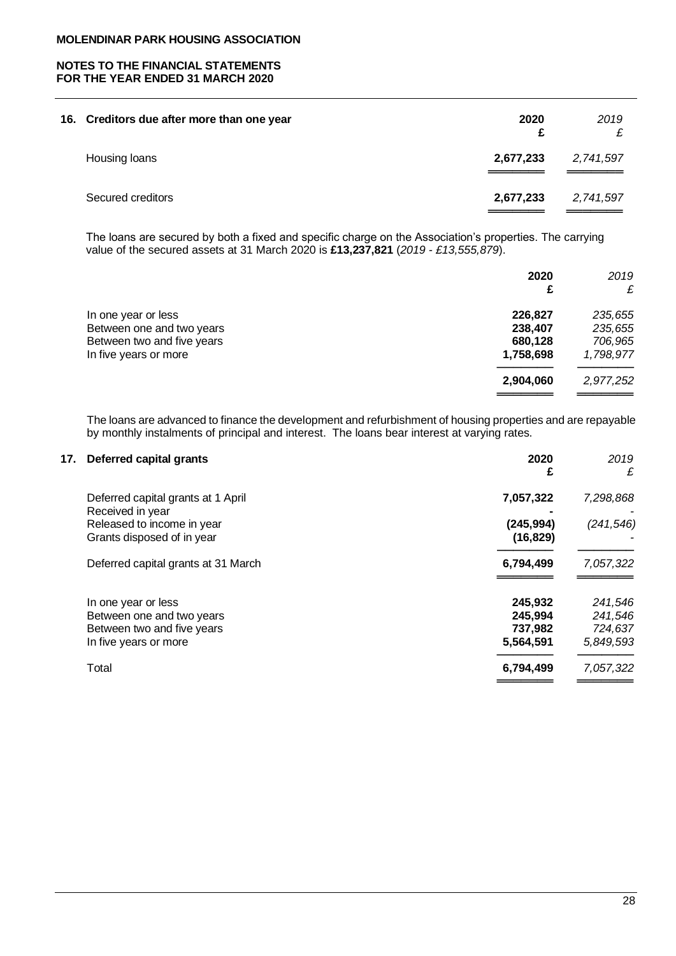# **NOTES TO THE FINANCIAL STATEMENTS FOR THE YEAR ENDED 31 MARCH 2020**

| 16. Creditors due after more than one year | 2020<br>£ | 2019      |
|--------------------------------------------|-----------|-----------|
| Housing loans                              | 2,677,233 | 2,741,597 |
| Secured creditors                          | 2,677,233 | 2,741,597 |

The loans are secured by both a fixed and specific charge on the Association's properties. The carrying value of the secured assets at 31 March 2020 is **£13,237,821** (*2019 - £13,555,879*).

|                            | 2020<br>£ | 2019<br>£ |
|----------------------------|-----------|-----------|
| In one year or less        | 226,827   | 235,655   |
| Between one and two years  | 238,407   | 235,655   |
| Between two and five years | 680,128   | 706,965   |
| In five years or more      | 1,758,698 | 1,798,977 |
|                            | 2,904,060 | 2,977,252 |
|                            |           |           |

The loans are advanced to finance the development and refurbishment of housing properties and are repayable by monthly instalments of principal and interest. The loans bear interest at varying rates.

| 17. | Deferred capital grants                                | 2020<br>£  | 2019<br>£  |
|-----|--------------------------------------------------------|------------|------------|
|     | Deferred capital grants at 1 April<br>Received in year | 7,057,322  | 7,298,868  |
|     | Released to income in year                             | (245, 994) | (241, 546) |
|     | Grants disposed of in year                             | (16, 829)  |            |
|     | Deferred capital grants at 31 March                    | 6,794,499  | 7,057,322  |
|     | In one year or less                                    | 245,932    | 241,546    |
|     | Between one and two years                              | 245,994    | 241,546    |
|     | Between two and five years                             | 737.982    | 724,637    |
|     | In five years or more                                  | 5,564,591  | 5,849,593  |
|     | Total                                                  | 6,794,499  | 7,057,322  |
|     |                                                        |            |            |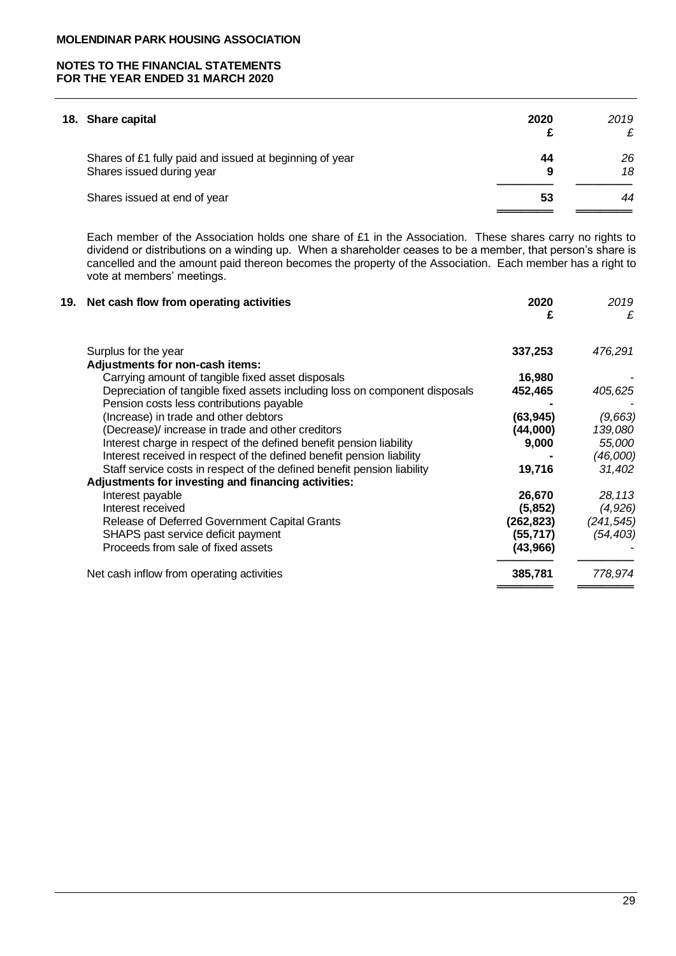# **NOTES TO THE FINANCIAL STATEMENTS FOR THE YEAR ENDED 31 MARCH 2020**

| 2020    | 2019<br>£ |
|---------|-----------|
| 44<br>9 | 26<br>18  |
| 53      | 44        |
|         |           |

Each member of the Association holds one share of £1 in the Association. These shares carry no rights to dividend or distributions on a winding up. When a shareholder ceases to be a member, that person's share is cancelled and the amount paid thereon becomes the property of the Association. Each member has a right to vote at members' meetings.

| 19. Net cash flow from operating activities                                 | 2020<br>£  | 2019<br>£  |
|-----------------------------------------------------------------------------|------------|------------|
| Surplus for the year                                                        | 337,253    | 476,291    |
| Adjustments for non-cash items:                                             |            |            |
| Carrying amount of tangible fixed asset disposals                           | 16,980     |            |
| Depreciation of tangible fixed assets including loss on component disposals | 452,465    | 405,625    |
| Pension costs less contributions payable                                    |            |            |
| (Increase) in trade and other debtors                                       | (63, 945)  | (9,663)    |
| (Decrease)/ increase in trade and other creditors                           | (44,000)   | 139,080    |
| Interest charge in respect of the defined benefit pension liability         | 9,000      | 55,000     |
| Interest received in respect of the defined benefit pension liability       |            | (46,000)   |
| Staff service costs in respect of the defined benefit pension liability     | 19,716     | 31,402     |
| Adjustments for investing and financing activities:                         |            |            |
| Interest payable                                                            | 26,670     | 28,113     |
| Interest received                                                           | (5, 852)   | (4,926)    |
| Release of Deferred Government Capital Grants                               | (262, 823) | (241, 545) |
| SHAPS past service deficit payment                                          | (55,717)   | (54, 403)  |
| Proceeds from sale of fixed assets                                          | (43,966)   |            |
| Net cash inflow from operating activities                                   | 385,781    | 778,974    |
|                                                                             |            |            |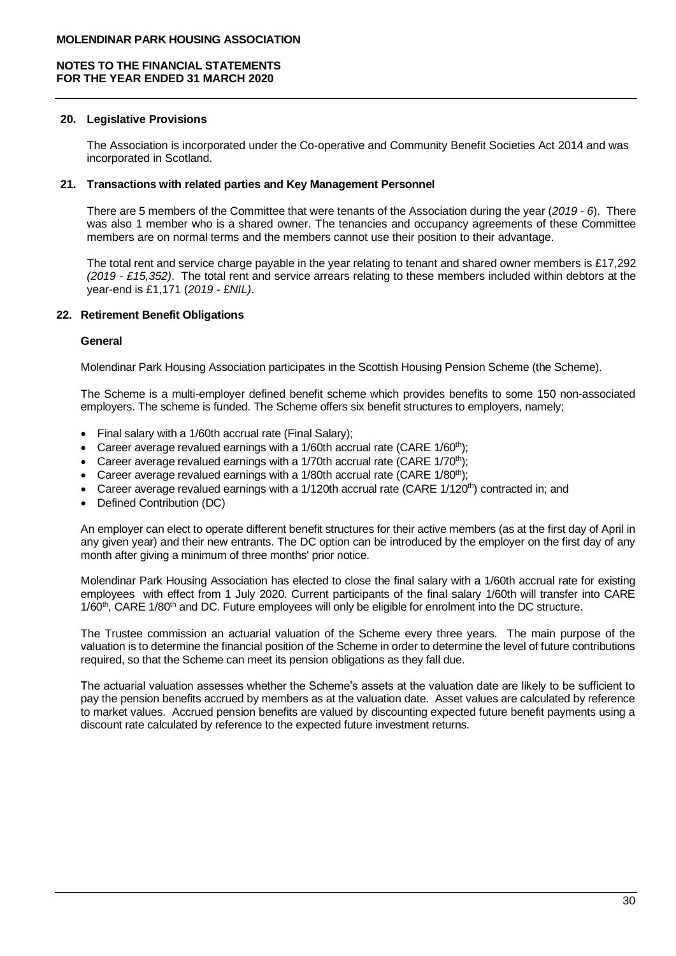# **20. Legislative Provisions**

The Association is incorporated under the Co-operative and Community Benefit Societies Act 2014 and was incorporated in Scotland.

## **21. Transactions with related parties and Key Management Personnel**

There are 5 members of the Committee that were tenants of the Association during the year (*2019 - 6*). There was also 1 member who is a shared owner. The tenancies and occupancy agreements of these Committee members are on normal terms and the members cannot use their position to their advantage.

The total rent and service charge payable in the year relating to tenant and shared owner members is £17,292 *(2019 - £15,352)*. The total rent and service arrears relating to these members included within debtors at the year-end is £1,171 (*2019 -* £*NIL)*.

# **22. Retirement Benefit Obligations**

# **General**

Molendinar Park Housing Association participates in the Scottish Housing Pension Scheme (the Scheme).

The Scheme is a multi-employer defined benefit scheme which provides benefits to some 150 non-associated employers. The scheme is funded. The Scheme offers six benefit structures to employers, namely;

- Final salary with a 1/60th accrual rate (Final Salary);
- Career average revalued earnings with a  $1/60$ th accrual rate (CARE  $1/60$ <sup>th</sup>);
- Career average revalued earnings with a 1/70th accrual rate (CARE 1/70<sup>th</sup>);
- Career average revalued earnings with a  $1/80$ th accrual rate (CARE  $1/80$ <sup>th</sup>);
- Career average revalued earnings with a  $1/120$ th accrual rate (CARE  $1/120$ <sup>th</sup>) contracted in; and
- Defined Contribution (DC)

An employer can elect to operate different benefit structures for their active members (as at the first day of April in any given year) and their new entrants. The DC option can be introduced by the employer on the first day of any month after giving a minimum of three months' prior notice.

Molendinar Park Housing Association has elected to close the final salary with a 1/60th accrual rate for existing employees with effect from 1 July 2020. Current participants of the final salary 1/60th will transfer into CARE 1/60<sup>th</sup>, CARE 1/80<sup>th</sup> and DC. Future employees will only be eligible for enrolment into the DC structure.

The Trustee commission an actuarial valuation of the Scheme every three years. The main purpose of the valuation is to determine the financial position of the Scheme in order to determine the level of future contributions required, so that the Scheme can meet its pension obligations as they fall due.

The actuarial valuation assesses whether the Scheme's assets at the valuation date are likely to be sufficient to pay the pension benefits accrued by members as at the valuation date. Asset values are calculated by reference to market values. Accrued pension benefits are valued by discounting expected future benefit payments using a discount rate calculated by reference to the expected future investment returns.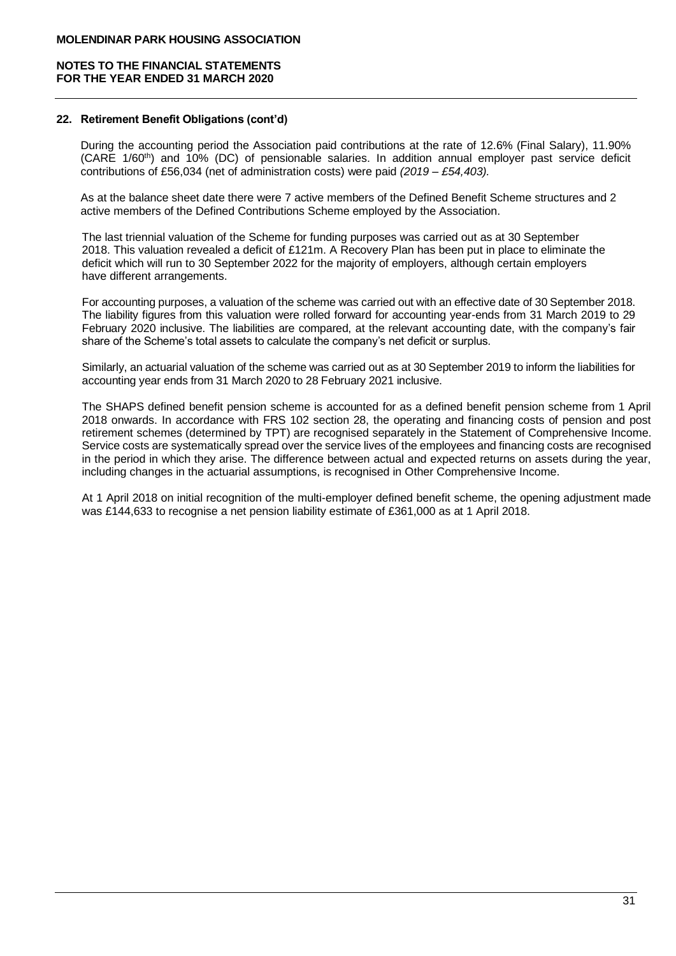## **22. Retirement Benefit Obligations (cont'd)**

During the accounting period the Association paid contributions at the rate of 12.6% (Final Salary), 11.90% (CARE 1/60th) and 10% (DC) of pensionable salaries. In addition annual employer past service deficit contributions of £56,034 (net of administration costs) were paid *(2019 – £54,403).*

As at the balance sheet date there were 7 active members of the Defined Benefit Scheme structures and 2 active members of the Defined Contributions Scheme employed by the Association.

The last triennial valuation of the Scheme for funding purposes was carried out as at 30 September 2018. This valuation revealed a deficit of £121m. A Recovery Plan has been put in place to eliminate the deficit which will run to 30 September 2022 for the majority of employers, although certain employers have different arrangements.

For accounting purposes, a valuation of the scheme was carried out with an effective date of 30 September 2018. The liability figures from this valuation were rolled forward for accounting year-ends from 31 March 2019 to 29 February 2020 inclusive. The liabilities are compared, at the relevant accounting date, with the company's fair share of the Scheme's total assets to calculate the company's net deficit or surplus.

Similarly, an actuarial valuation of the scheme was carried out as at 30 September 2019 to inform the liabilities for accounting year ends from 31 March 2020 to 28 February 2021 inclusive.

The SHAPS defined benefit pension scheme is accounted for as a defined benefit pension scheme from 1 April 2018 onwards. In accordance with FRS 102 section 28, the operating and financing costs of pension and post retirement schemes (determined by TPT) are recognised separately in the Statement of Comprehensive Income. Service costs are systematically spread over the service lives of the employees and financing costs are recognised in the period in which they arise. The difference between actual and expected returns on assets during the year, including changes in the actuarial assumptions, is recognised in Other Comprehensive Income.

At 1 April 2018 on initial recognition of the multi-employer defined benefit scheme, the opening adjustment made was £144,633 to recognise a net pension liability estimate of £361,000 as at 1 April 2018.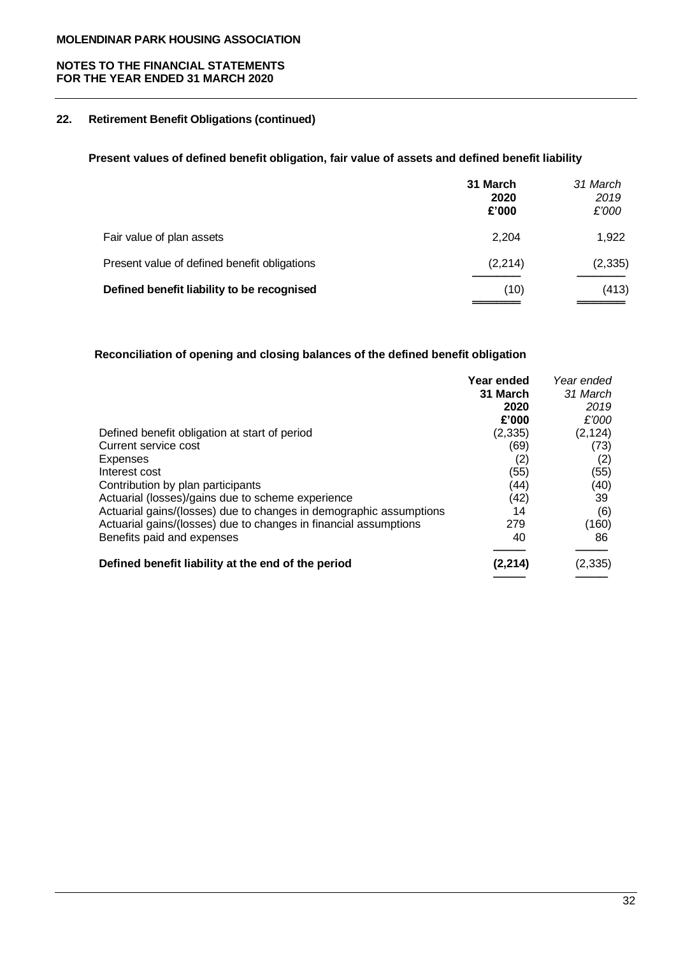# **NOTES TO THE FINANCIAL STATEMENTS FOR THE YEAR ENDED 31 MARCH 2020**

# **22. Retirement Benefit Obligations (continued)**

# **Present values of defined benefit obligation, fair value of assets and defined benefit liability**

|                                              | 31 March<br>2020<br>£'000 | 31 March<br>2019<br>£'000 |
|----------------------------------------------|---------------------------|---------------------------|
| Fair value of plan assets                    | 2,204                     | 1,922                     |
| Present value of defined benefit obligations | (2, 214)                  | (2, 335)                  |
| Defined benefit liability to be recognised   | (10)                      | (413)                     |

# **Reconciliation of opening and closing balances of the defined benefit obligation**

| Year ended | Year ended              |
|------------|-------------------------|
| 31 March   | 31 March                |
| 2020       | 2019                    |
| £'000      | £'000                   |
|            | (2, 124)                |
| (69)       | (73)                    |
|            | (2)                     |
| (55)       | (55)                    |
| (44)       | (40)                    |
|            | 39                      |
| 14         | (6)                     |
| 279        | (160)                   |
| 40         | 86                      |
| (2, 214)   | (2, 335)                |
|            | (2, 335)<br>(2)<br>(42) |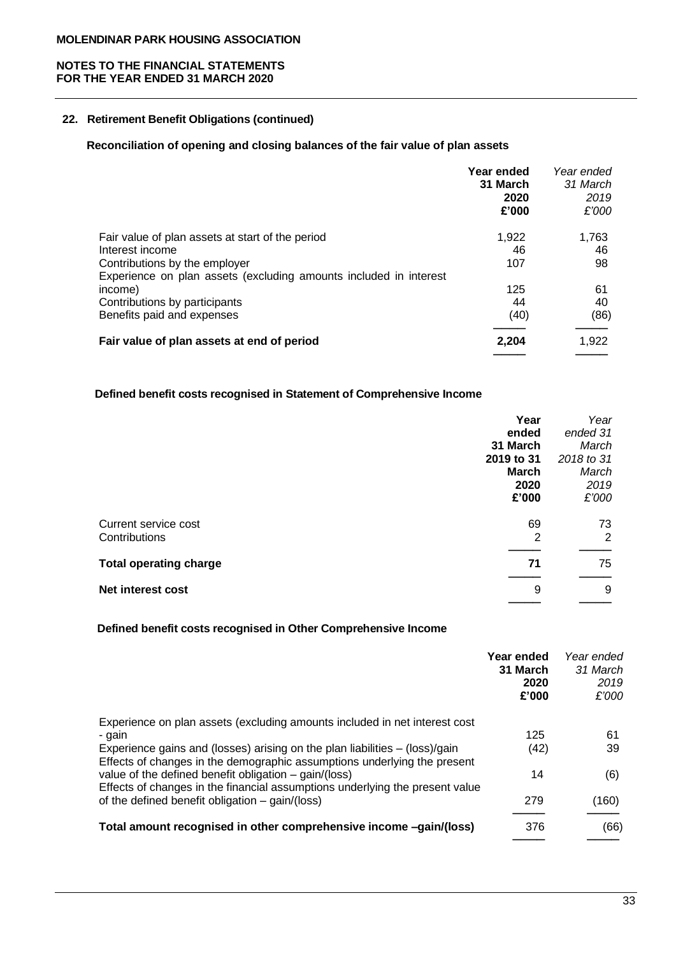# **22. Retirement Benefit Obligations (continued)**

# **Reconciliation of opening and closing balances of the fair value of plan assets**

|                                                                   | Year ended<br>31 March<br>2020<br>£'000 | Year ended<br>31 March<br>2019<br>£'000 |
|-------------------------------------------------------------------|-----------------------------------------|-----------------------------------------|
| Fair value of plan assets at start of the period                  | 1,922                                   | 1,763                                   |
| Interest income                                                   | 46                                      | 46                                      |
| Contributions by the employer                                     | 107                                     | 98                                      |
| Experience on plan assets (excluding amounts included in interest |                                         |                                         |
| income)                                                           | 125                                     | 61                                      |
| Contributions by participants                                     | 44                                      | 40                                      |
| Benefits paid and expenses                                        | (40)                                    | (86)                                    |
| Fair value of plan assets at end of period                        | 2,204                                   | 1,922                                   |
|                                                                   |                                         |                                         |

# **Defined benefit costs recognised in Statement of Comprehensive Income**

|                               | Year         | Year       |
|-------------------------------|--------------|------------|
|                               | ended        | ended 31   |
|                               | 31 March     | March      |
|                               | 2019 to 31   | 2018 to 31 |
|                               | <b>March</b> | March      |
|                               | 2020         | 2019       |
|                               | £'000        | £'000      |
|                               |              |            |
| Current service cost          | 69           | 73         |
| Contributions                 | 2            | 2          |
|                               |              |            |
| <b>Total operating charge</b> | 71           | 75         |
| <b>Net interest cost</b>      | 9            | 9          |
|                               |              |            |

# **Defined benefit costs recognised in Other Comprehensive Income**

| Year ended<br>31 March<br>2019<br>£'000                                    |
|----------------------------------------------------------------------------|
|                                                                            |
| 61                                                                         |
| 39                                                                         |
| (6)                                                                        |
| (160)                                                                      |
| (66)                                                                       |
| Year ended<br>31 March<br>2020<br>£'000<br>125<br>(42)<br>14<br>279<br>376 |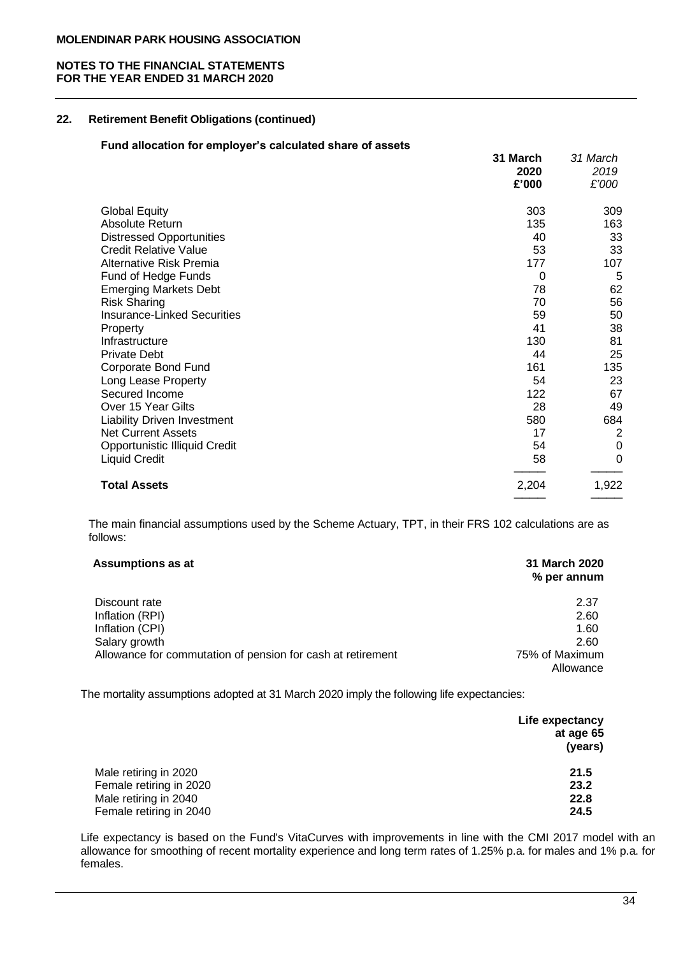# **22. Retirement Benefit Obligations (continued)**

# **Fund allocation for employer's calculated share of assets**

|                                    | 31 March<br>2020<br>£'000 | 31 March<br>2019<br>£'000 |
|------------------------------------|---------------------------|---------------------------|
| <b>Global Equity</b>               | 303                       | 309                       |
| Absolute Return                    | 135                       | 163                       |
| <b>Distressed Opportunities</b>    | 40                        | 33                        |
| <b>Credit Relative Value</b>       | 53                        | 33                        |
| Alternative Risk Premia            | 177                       | 107                       |
| Fund of Hedge Funds                | 0                         | 5                         |
| <b>Emerging Markets Debt</b>       | 78                        | 62                        |
| <b>Risk Sharing</b>                | 70                        | 56                        |
| <b>Insurance-Linked Securities</b> | 59                        | 50                        |
| Property                           | 41                        | 38                        |
| Infrastructure                     | 130                       | 81                        |
| <b>Private Debt</b>                | 44                        | 25                        |
| Corporate Bond Fund                | 161                       | 135                       |
| Long Lease Property                | 54                        | 23                        |
| Secured Income                     | 122                       | 67                        |
| Over 15 Year Gilts                 | 28                        | 49                        |
| Liability Driven Investment        | 580                       | 684                       |
| <b>Net Current Assets</b>          | 17                        | $\overline{2}$            |
| Opportunistic Illiquid Credit      | 54                        | 0                         |
| Liquid Credit                      | 58                        | 0                         |
| <b>Total Assets</b>                | 2,204                     | 1,922                     |
|                                    |                           |                           |

The main financial assumptions used by the Scheme Actuary, TPT, in their FRS 102 calculations are as follows:

| <b>Assumptions as at</b>                                    | 31 March 2020<br>% per annum |
|-------------------------------------------------------------|------------------------------|
| Discount rate                                               | 2.37                         |
| Inflation (RPI)                                             | 2.60                         |
| Inflation (CPI)                                             | 1.60                         |
| Salary growth                                               | 2.60                         |
| Allowance for commutation of pension for cash at retirement | 75% of Maximum               |
|                                                             | Allowance                    |

The mortality assumptions adopted at 31 March 2020 imply the following life expectancies:

|                         | Life expectancy<br>at age 65<br>(years) |
|-------------------------|-----------------------------------------|
| Male retiring in 2020   | 21.5                                    |
| Female retiring in 2020 | 23.2                                    |
| Male retiring in 2040   | 22.8                                    |
| Female retiring in 2040 | 24.5                                    |

Life expectancy is based on the Fund's VitaCurves with improvements in line with the CMI 2017 model with an allowance for smoothing of recent mortality experience and long term rates of 1.25% p.a. for males and 1% p.a. for females.